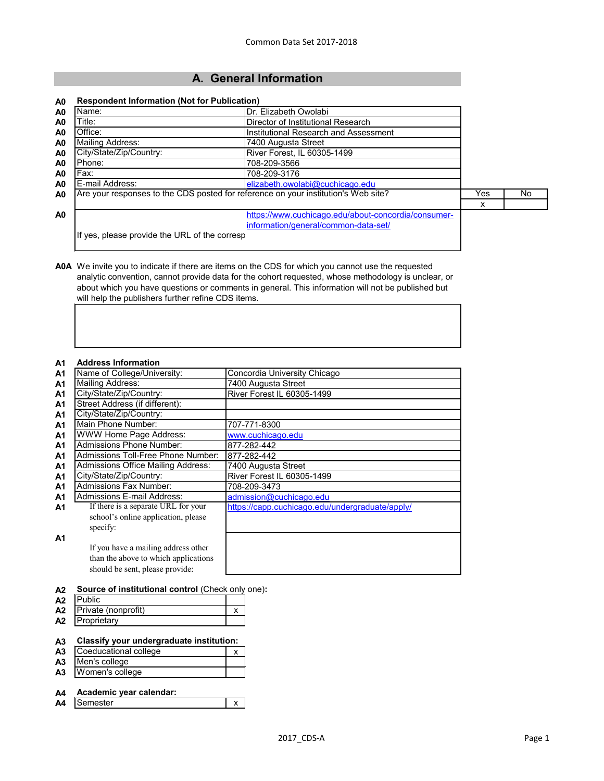# **A. General Information**

#### **A0 Respondent Information (Not for Publication)**

| A <sub>0</sub> | Name:                                                                              | Dr. Elizabeth Owolabi                               |      |    |  |  |
|----------------|------------------------------------------------------------------------------------|-----------------------------------------------------|------|----|--|--|
| A <sub>0</sub> | Title:                                                                             | Director of Institutional Research                  |      |    |  |  |
| A <sub>0</sub> | Office:                                                                            | Institutional Research and Assessment               |      |    |  |  |
| A <sub>0</sub> | <b>Mailing Address:</b>                                                            | 7400 Augusta Street                                 |      |    |  |  |
| A <sub>0</sub> | City/State/Zip/Country:                                                            | River Forest, IL 60305-1499                         |      |    |  |  |
| A <sub>0</sub> | Phone:                                                                             | 708-209-3566                                        |      |    |  |  |
| A <sub>0</sub> | Fax:<br>708-209-3176                                                               |                                                     |      |    |  |  |
| A <sub>0</sub> | E-mail Address:                                                                    | elizabeth.owolabi@cuchicago.edu                     |      |    |  |  |
| A <sub>0</sub> | Are your responses to the CDS posted for reference on your institution's Web site? |                                                     | Yes. | No |  |  |
|                |                                                                                    |                                                     | х    |    |  |  |
| A <sub>0</sub> |                                                                                    | https://www.cuchicago.edu/about-concordia/consumer- |      |    |  |  |
|                |                                                                                    | information/general/common-data-set/                |      |    |  |  |

If yes, please provide the URL of the corresp

**A0A** We invite you to indicate if there are items on the CDS for which you cannot use the requested analytic convention, cannot provide data for the cohort requested, whose methodology is unclear, or about which you have questions or comments in general. This information will not be published but will help the publishers further refine CDS items.

#### **A1 Address Information**

| <b></b>        | AGUI 699 THIUI HUUU 1                     |                                                 |
|----------------|-------------------------------------------|-------------------------------------------------|
| A <sub>1</sub> | Name of College/University:               | Concordia University Chicago                    |
| A <sub>1</sub> | <b>Mailing Address:</b>                   | 7400 Augusta Street                             |
| A1             | City/State/Zip/Country:                   | River Forest IL 60305-1499                      |
| A <sub>1</sub> | Street Address (if different):            |                                                 |
| A <sub>1</sub> | City/State/Zip/Country:                   |                                                 |
| A <sub>1</sub> | Main Phone Number:                        | 707-771-8300                                    |
| A <sub>1</sub> | <b>WWW Home Page Address:</b>             | www.cuchicago.edu                               |
| A <sub>1</sub> | <b>Admissions Phone Number:</b>           | 877-282-442                                     |
| A <sub>1</sub> | Admissions Toll-Free Phone Number:        | 877-282-442                                     |
| A1             | <b>Admissions Office Mailing Address:</b> | 7400 Augusta Street                             |
| A <sub>1</sub> | City/State/Zip/Country:                   | River Forest IL 60305-1499                      |
| A1             | Admissions Fax Number:                    | 708-209-3473                                    |
| A1             | <b>Admissions E-mail Address:</b>         | admission@cuchicago.edu                         |
| A1             | If there is a separate URL for your       | https://capp.cuchicago.edu/undergraduate/apply/ |
|                | school's online application, please       |                                                 |
|                | specify:                                  |                                                 |
| A1             |                                           |                                                 |
|                | If you have a mailing address other       |                                                 |
|                | than the above to which applications      |                                                 |
|                | should be sent, please provide:           |                                                 |

## **A2 Source of institutional control** (Check only one)**:**

| A <sub>2</sub> | <b>Public</b>       |  |
|----------------|---------------------|--|
| A2             | Private (nonprofit) |  |
| A2             | Proprietary         |  |

#### **A3 Classify your undergraduate institution:**

| A <sub>3</sub> | Coeducational college |  |
|----------------|-----------------------|--|
|                | A3 Men's college      |  |
| A3             | Women's college       |  |

# **A4 Academic year calendar:**

| n<br>. .<br>~~ | -+--<br>$\ddotsc$<br>-<br>. . |  |
|----------------|-------------------------------|--|
|                |                               |  |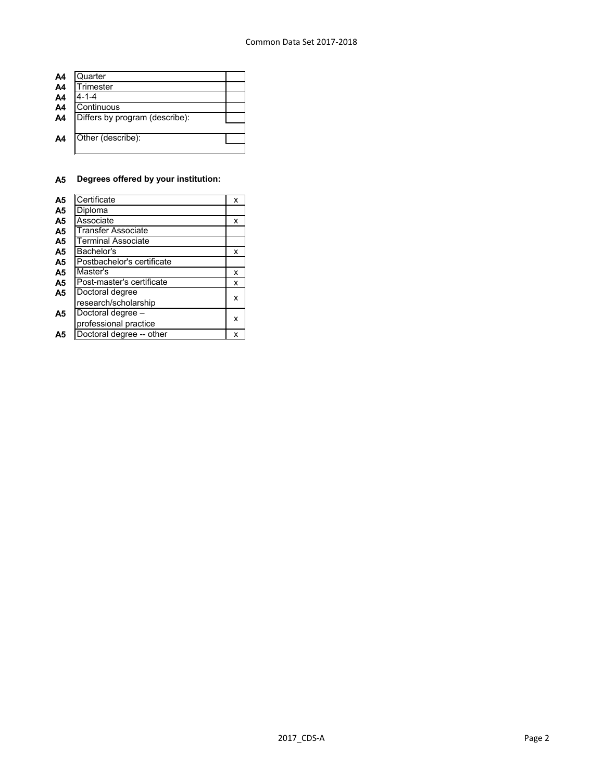| A4             | Quarter                        |  |
|----------------|--------------------------------|--|
| A <sub>4</sub> | <b>Trimester</b>               |  |
| A <sub>4</sub> | $4 - 1 - 4$                    |  |
| A <sub>4</sub> | Continuous                     |  |
| A <sub>4</sub> | Differs by program (describe): |  |
|                |                                |  |
| A4             | Other (describe):              |  |
|                |                                |  |

# **A5 Degrees offered by your institution:**

| A <sub>5</sub> | Certificate                | x |
|----------------|----------------------------|---|
| A <sub>5</sub> | Diploma                    |   |
| A <sub>5</sub> | Associate                  | x |
| A <sub>5</sub> | <b>Transfer Associate</b>  |   |
| A <sub>5</sub> | <b>Terminal Associate</b>  |   |
| A <sub>5</sub> | Bachelor's                 | x |
| A <sub>5</sub> | Postbachelor's certificate |   |
| A5             | Master's                   | x |
| A <sub>5</sub> | Post-master's certificate  | x |
| A <sub>5</sub> | Doctoral degree            |   |
|                | research/scholarship       | x |
| Α5             | Doctoral degree -          |   |
|                | professional practice      | x |
| Α5             | Doctoral degree -- other   | x |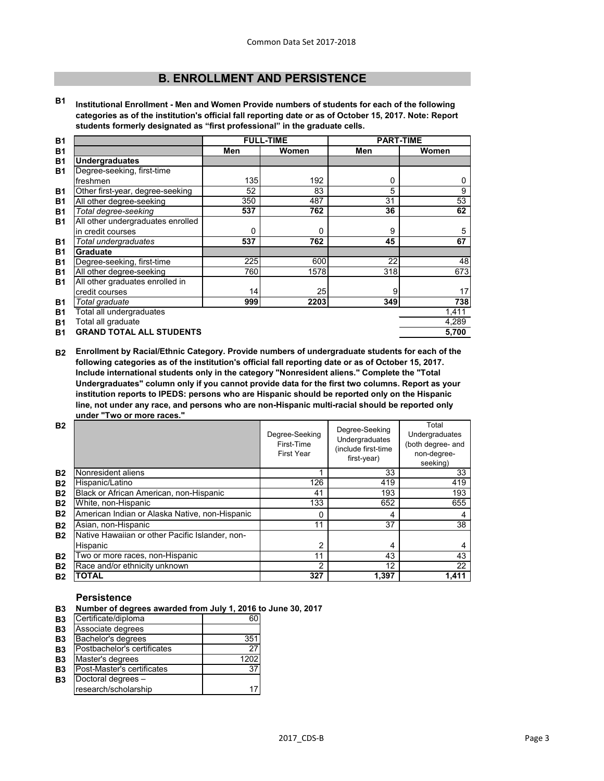# **B. ENROLLMENT AND PERSISTENCE**

**B1 Institutional Enrollment - Men and Women Provide numbers of students for each of the following categories as of the institution's official fall reporting date or as of October 15, 2017. Note: Report students formerly designated as "first professional" in the graduate cells.**

| <b>B1</b> |                                   | <b>FULL-TIME</b> |       | <b>PART-TIME</b> |       |
|-----------|-----------------------------------|------------------|-------|------------------|-------|
| <b>B1</b> |                                   | Men              | Women | Men              | Women |
| <b>B1</b> | <b>Undergraduates</b>             |                  |       |                  |       |
| <b>B1</b> | Degree-seeking, first-time        |                  |       |                  |       |
|           | freshmen                          | 135              | 192   | $\mathbf{0}$     | 0     |
| <b>B1</b> | Other first-year, degree-seeking  | 52               | 83    | 5                | 9     |
| <b>B1</b> | All other degree-seeking          | 350              | 487   | 31               | 53    |
| <b>B1</b> | Total degree-seeking              | 537              | 762   | 36               | 62    |
| <b>B1</b> | All other undergraduates enrolled |                  |       |                  |       |
|           | in credit courses                 | $\mathbf 0$      | 0     | 9                | 5     |
| <b>B1</b> | Total undergraduates              | 537              | 762   | 45               | 67    |
| <b>B1</b> | <b>Graduate</b>                   |                  |       |                  |       |
| <b>B1</b> | Degree-seeking, first-time        | 225              | 600   | 22               | 48    |
| <b>B1</b> | All other degree-seeking          | 760              | 1578  | 318              | 673   |
| <b>B1</b> | All other graduates enrolled in   |                  |       |                  |       |
|           | credit courses                    | 14               | 25    | 9                | 17    |
| <b>B1</b> | Total graduate                    | 999              | 2203  | 349              | 738   |
| <b>B1</b> | Total all undergraduates          |                  |       |                  | 1,411 |
| <b>B1</b> | Total all graduate                |                  |       |                  | 4,289 |
| <b>B1</b> | <b>GRAND TOTAL ALL STUDENTS</b>   |                  |       |                  | 5,700 |

**B2 Enrollment by Racial/Ethnic Category. Provide numbers of undergraduate students for each of the following categories as of the institution's official fall reporting date or as of October 15, 2017. Include international students only in the category "Nonresident aliens." Complete the "Total Undergraduates" column only if you cannot provide data for the first two columns. Report as your institution reports to IPEDS: persons who are Hispanic should be reported only on the Hispanic line, not under any race, and persons who are non-Hispanic multi-racial should be reported only under "Two or more races."** 

| <b>B2</b> |                                                 | Degree-Seeking<br>First-Time<br><b>First Year</b> | Degree-Seeking<br>Undergraduates<br>(include first-time<br>first-year) | Total<br>Undergraduates<br>(both degree- and<br>non-degree-<br>seeking) |
|-----------|-------------------------------------------------|---------------------------------------------------|------------------------------------------------------------------------|-------------------------------------------------------------------------|
| <b>B2</b> | Nonresident aliens                              |                                                   | 33                                                                     | 33                                                                      |
| <b>B2</b> | Hispanic/Latino                                 | 126                                               | 419                                                                    | 419                                                                     |
| <b>B2</b> | Black or African American, non-Hispanic         | 41                                                | 193                                                                    | 193                                                                     |
| <b>B2</b> | White, non-Hispanic                             | 133                                               | 652                                                                    | 655                                                                     |
| <b>B2</b> | American Indian or Alaska Native, non-Hispanic  | 0                                                 | 4                                                                      |                                                                         |
| <b>B2</b> | Asian, non-Hispanic                             | 11                                                | 37                                                                     | 38                                                                      |
| <b>B2</b> | Native Hawaiian or other Pacific Islander, non- |                                                   |                                                                        |                                                                         |
|           | Hispanic                                        | 2                                                 | 4                                                                      |                                                                         |
| <b>B2</b> | Two or more races, non-Hispanic                 | 11                                                | 43                                                                     | 43                                                                      |
| <b>B2</b> | Race and/or ethnicity unknown                   | 2                                                 | 12                                                                     | 22                                                                      |
| <b>B2</b> | TOTAL                                           | 327                                               | 1,397                                                                  | 1,411                                                                   |

## **Persistence**

- **B3 Number of degrees awarded from July 1, 2016 to June 30, 2017**
- **B3** Certificate/diploma 60

| Associate degrees           |      |
|-----------------------------|------|
| Bachelor's degrees          | 351  |
| Postbachelor's certificates | 27   |
| Master's degrees            | 1202 |
| Post-Master's certificates  | 37   |
| Doctoral degrees -          |      |
| research/scholarship        |      |
|                             |      |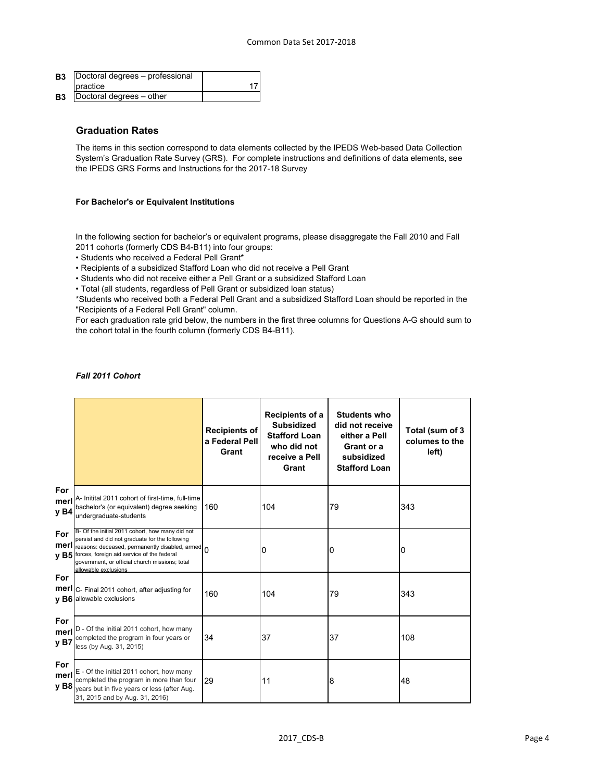| <b>B3</b> | Doctoral degrees - professional |  |
|-----------|---------------------------------|--|
|           | <b>I</b> practice               |  |
| <b>B3</b> | Doctoral degrees - other        |  |

## **Graduation Rates**

The items in this section correspond to data elements collected by the IPEDS Web-based Data Collection System's Graduation Rate Survey (GRS). For complete instructions and definitions of data elements, see the IPEDS GRS Forms and Instructions for the 2017-18 Survey

#### **For Bachelor's or Equivalent Institutions**

In the following section for bachelor's or equivalent programs, please disaggregate the Fall 2010 and Fall 2011 cohorts (formerly CDS B4-B11) into four groups:

• Students who received a Federal Pell Grant\*

• Recipients of a subsidized Stafford Loan who did not receive a Pell Grant

• Students who did not receive either a Pell Grant or a subsidized Stafford Loan

• Total (all students, regardless of Pell Grant or subsidized loan status)

\*Students who received both a Federal Pell Grant and a subsidized Stafford Loan should be reported in the "Recipients of a Federal Pell Grant" column.

For each graduation rate grid below, the numbers in the first three columns for Questions A-G should sum to the cohort total in the fourth column (formerly CDS B4-B11).

## *Fall 2011 Cohort*

|                                 |                                                                                                                                                                                                                                                                               | <b>Recipients of</b><br>a Federal Pell<br>Grant | Recipients of a<br><b>Subsidized</b><br><b>Stafford Loan</b><br>who did not<br>receive a Pell<br>Grant | <b>Students who</b><br>did not receive<br>either a Pell<br>Grant or a<br>subsidized<br><b>Stafford Loan</b> | Total (sum of 3<br>columes to the<br>left) |
|---------------------------------|-------------------------------------------------------------------------------------------------------------------------------------------------------------------------------------------------------------------------------------------------------------------------------|-------------------------------------------------|--------------------------------------------------------------------------------------------------------|-------------------------------------------------------------------------------------------------------------|--------------------------------------------|
| For<br>merl<br>y B4             | A- Initital 2011 cohort of first-time, full-time<br>bachelor's (or equivalent) degree seeking<br>undergraduate-students                                                                                                                                                       | 160                                             | 104                                                                                                    | 79                                                                                                          | 343                                        |
| For<br>merl<br>yB5              | B- Of the initial 2011 cohort, how many did not<br>persist and did not graduate for the following<br>reasons: deceased, permanently disabled, armed 0<br>forces, foreign aid service of the federal<br>government, or official church missions; total<br>allowable exclusions |                                                 | 0                                                                                                      | 0                                                                                                           | 0                                          |
| For                             | merl C- Final 2011 cohort, after adjusting for<br>v B6 allowable exclusions                                                                                                                                                                                                   | 160                                             | 104                                                                                                    | 79                                                                                                          | 343                                        |
| For<br>merl<br>y B7             | D - Of the initial 2011 cohort, how many<br>completed the program in four years or<br>less (by Aug. 31, 2015)                                                                                                                                                                 | 34                                              | 37                                                                                                     | 37                                                                                                          | 108                                        |
| For<br>merl<br>y B <sub>8</sub> | E - Of the initial 2011 cohort, how many<br>completed the program in more than four<br>years but in five years or less (after Aug.<br>31, 2015 and by Aug. 31, 2016)                                                                                                          | 29                                              | 11                                                                                                     | $\boldsymbol{8}$                                                                                            | 48                                         |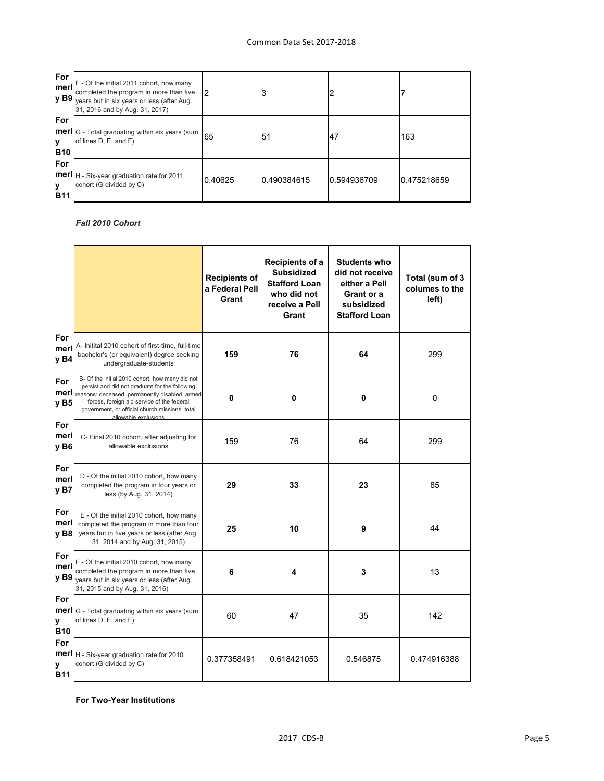| For<br>merl            | F - Of the initial 2011 cohort, how many<br>completed the program in more than five<br>$y$ B9 years but in six years or less (after Aug.<br>31, 2016 and by Aug. 31, 2017) | 12      | 3           |             |             |
|------------------------|----------------------------------------------------------------------------------------------------------------------------------------------------------------------------|---------|-------------|-------------|-------------|
| For<br>У<br><b>B10</b> | <b>merl</b> G - Total graduating within six years (sum<br>of lines D, E, and F)                                                                                            | 65      | 51          | 147         | 163         |
| For<br>У<br><b>B11</b> | <b>merl</b>   H - Six-year graduation rate for 2011<br>cohort (G divided by C)                                                                                             | 0.40625 | 0.490384615 | 0.594936709 | 0.475218659 |

## *Fall 2010 Cohort*

|                                   |                                                                                                                                                                                                                                                                             | <b>Recipients of</b><br>a Federal Pell<br>Grant | Recipients of a<br><b>Subsidized</b><br><b>Stafford Loan</b><br>who did not<br>receive a Pell<br>Grant | <b>Students who</b><br>did not receive<br>either a Pell<br>Grant or a<br>subsidized<br><b>Stafford Loan</b> | Total (sum of 3<br>columes to the<br>left) |
|-----------------------------------|-----------------------------------------------------------------------------------------------------------------------------------------------------------------------------------------------------------------------------------------------------------------------------|-------------------------------------------------|--------------------------------------------------------------------------------------------------------|-------------------------------------------------------------------------------------------------------------|--------------------------------------------|
| For<br>merl<br>y B4               | A- Initital 2010 cohort of first-time, full-time<br>bachelor's (or equivalent) degree seeking<br>undergraduate-students                                                                                                                                                     | 159                                             | 76                                                                                                     | 64                                                                                                          | 299                                        |
| For<br>merl<br>y B5               | B- Of the initial 2010 cohort, how many did not<br>persist and did not graduate for the following<br>reasons: deceased, permanently disabled, armed<br>forces, foreign aid service of the federal<br>government, or official church missions; total<br>allowable exclusions | 0                                               | $\mathbf 0$                                                                                            | $\mathbf 0$                                                                                                 | 0                                          |
| For<br>merl<br>y B6               | C- Final 2010 cohort, after adjusting for<br>allowable exclusions                                                                                                                                                                                                           | 159                                             | 76                                                                                                     | 64                                                                                                          | 299                                        |
| For<br>merl<br>y B7               | D - Of the initial 2010 cohort, how many<br>completed the program in four years or<br>less (by Aug. 31, 2014)                                                                                                                                                               | 29                                              | 33                                                                                                     | 23                                                                                                          | 85                                         |
| For<br>merl<br>y B <sub>8</sub>   | E - Of the initial 2010 cohort, how many<br>completed the program in more than four<br>years but in five years or less (after Aug.<br>31, 2014 and by Aug. 31, 2015)                                                                                                        | 25                                              | 10                                                                                                     | 9                                                                                                           | 44                                         |
| <b>For</b><br>merl<br><b>v</b> B9 | F - Of the initial 2010 cohort, how many<br>completed the program in more than five<br>years but in six years or less (after Aug.<br>31, 2015 and by Aug. 31, 2016)                                                                                                         | 6                                               | 4                                                                                                      | 3                                                                                                           | 13                                         |
| For<br>merl<br>У<br><b>B10</b>    | G - Total graduating within six years (sum<br>of lines D, E, and F)                                                                                                                                                                                                         | 60                                              | 47                                                                                                     | 35                                                                                                          | 142                                        |
| <b>For</b><br>У<br><b>B11</b>     | merl   H - Six-year graduation rate for 2010<br>cohort (G divided by C)                                                                                                                                                                                                     | 0.377358491                                     | 0.618421053                                                                                            | 0.546875                                                                                                    | 0.474916388                                |

**For Two-Year Institutions**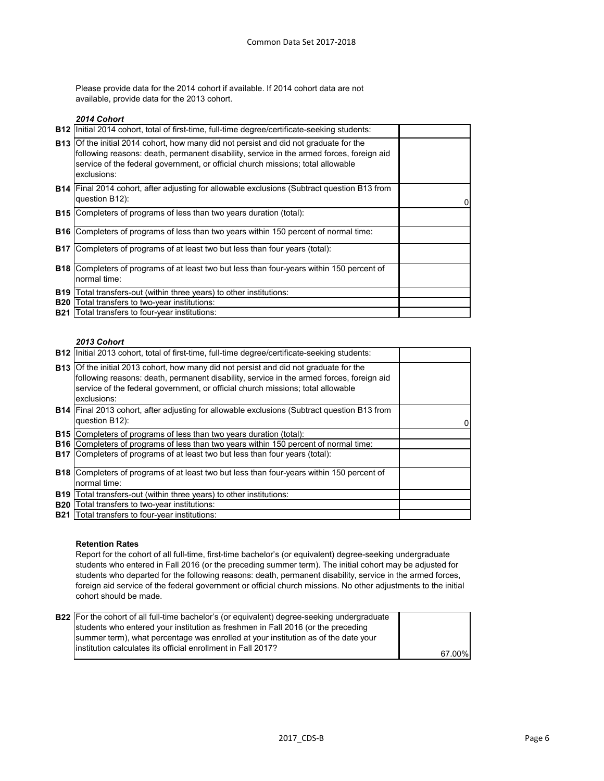Please provide data for the 2014 cohort if available. If 2014 cohort data are not available, provide data for the 2013 cohort.

#### *2014 Cohort*

|            | B12   Initial 2014 cohort, total of first-time, full-time degree/certificate-seeking students:                                                                                                                                                                                             |   |
|------------|--------------------------------------------------------------------------------------------------------------------------------------------------------------------------------------------------------------------------------------------------------------------------------------------|---|
|            | <b>B13</b> Of the initial 2014 cohort, how many did not persist and did not graduate for the<br>following reasons: death, permanent disability, service in the armed forces, foreign aid<br>service of the federal government, or official church missions; total allowable<br>exclusions: |   |
|            | <b>B14</b> Final 2014 cohort, after adjusting for allowable exclusions (Subtract question B13 from<br>question B12):                                                                                                                                                                       | 0 |
| <b>B15</b> | Completers of programs of less than two years duration (total):                                                                                                                                                                                                                            |   |
| B16        | Completers of programs of less than two years within 150 percent of normal time:                                                                                                                                                                                                           |   |
| <b>B17</b> | Completers of programs of at least two but less than four years (total):                                                                                                                                                                                                                   |   |
|            | <b>B18</b> Completers of programs of at least two but less than four-years within 150 percent of<br>normal time:                                                                                                                                                                           |   |
| <b>B19</b> | Total transfers-out (within three years) to other institutions:                                                                                                                                                                                                                            |   |
| <b>B20</b> | Total transfers to two-year institutions:                                                                                                                                                                                                                                                  |   |
|            | <b>B21</b> Total transfers to four-year institutions:                                                                                                                                                                                                                                      |   |

#### *2013 Cohort*

|            | <b>B12</b> Initial 2013 cohort, total of first-time, full-time degree/certificate-seeking students:                                                                                                                                                                                        |   |
|------------|--------------------------------------------------------------------------------------------------------------------------------------------------------------------------------------------------------------------------------------------------------------------------------------------|---|
|            | <b>B13</b> Of the initial 2013 cohort, how many did not persist and did not graduate for the<br>following reasons: death, permanent disability, service in the armed forces, foreign aid<br>service of the federal government, or official church missions; total allowable<br>exclusions: |   |
|            | <b>B14</b> Final 2013 cohort, after adjusting for allowable exclusions (Subtract question B13 from<br>question B12):                                                                                                                                                                       | 0 |
|            | <b>B15</b> Completers of programs of less than two years duration (total):                                                                                                                                                                                                                 |   |
|            | <b>B16</b> Completers of programs of less than two years within 150 percent of normal time:                                                                                                                                                                                                |   |
|            | <b>B17</b> Completers of programs of at least two but less than four years (total):                                                                                                                                                                                                        |   |
|            | <b>B18</b> Completers of programs of at least two but less than four-years within 150 percent of                                                                                                                                                                                           |   |
|            | normal time:                                                                                                                                                                                                                                                                               |   |
| <b>B19</b> | Total transfers-out (within three years) to other institutions:                                                                                                                                                                                                                            |   |
| <b>B20</b> | Total transfers to two-year institutions:                                                                                                                                                                                                                                                  |   |
| <b>B21</b> | Total transfers to four-year institutions:                                                                                                                                                                                                                                                 |   |

#### **Retention Rates**

Report for the cohort of all full-time, first-time bachelor's (or equivalent) degree-seeking undergraduate students who entered in Fall 2016 (or the preceding summer term). The initial cohort may be adjusted for students who departed for the following reasons: death, permanent disability, service in the armed forces, foreign aid service of the federal government or official church missions. No other adjustments to the initial cohort should be made.

| <b>B22</b> For the cohort of all full-time bachelor's (or equivalent) degree-seeking undergraduate |        |
|----------------------------------------------------------------------------------------------------|--------|
| students who entered your institution as freshmen in Fall 2016 (or the preceding                   |        |
| summer term), what percentage was enrolled at your institution as of the date your                 |        |
| linstitution calculates its official enrollment in Fall 2017?                                      | 67.00% |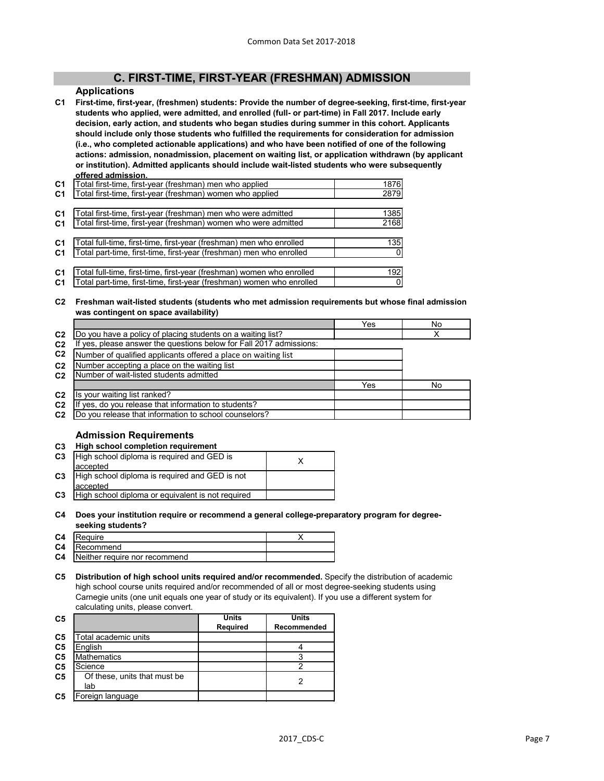# **C. FIRST-TIME, FIRST-YEAR (FRESHMAN) ADMISSION**

#### **Applications**

**C1 First-time, first-year, (freshmen) students: Provide the number of degree-seeking, first-time, first-year students who applied, were admitted, and enrolled (full- or part-time) in Fall 2017. Include early decision, early action, and students who began studies during summer in this cohort. Applicants should include only those students who fulfilled the requirements for consideration for admission (i.e., who completed actionable applications) and who have been notified of one of the following actions: admission, nonadmission, placement on waiting list, or application withdrawn (by applicant or institution). Admitted applicants should include wait-listed students who were subsequently offered admission.**

| C <sub>1</sub> | Total first-time, first-year (freshman) men who applied               | 1876 |
|----------------|-----------------------------------------------------------------------|------|
| C <sub>1</sub> | Total first-time, first-year (freshman) women who applied             | 2879 |
|                |                                                                       |      |
| C <sub>1</sub> | Total first-time, first-year (freshman) men who were admitted         | 1385 |
| C <sub>1</sub> | Total first-time, first-year (freshman) women who were admitted       | 2168 |
|                |                                                                       |      |
| C <sub>1</sub> | Total full-time, first-time, first-year (freshman) men who enrolled   | 135  |
| C <sub>1</sub> | Total part-time, first-time, first-year (freshman) men who enrolled   |      |
|                |                                                                       |      |
| C <sub>1</sub> | Total full-time, first-time, first-year (freshman) women who enrolled | 192  |
| C <sub>1</sub> | Total part-time, first-time, first-year (freshman) women who enrolled |      |
|                |                                                                       |      |

**C2 Freshman wait-listed students (students who met admission requirements but whose final admission was contingent on space availability)**

|                |                                                                  | Yes | No |
|----------------|------------------------------------------------------------------|-----|----|
| C <sub>2</sub> | Do you have a policy of placing students on a waiting list?      |     |    |
| C <sub>2</sub> | yes, please answer the questions below for Fall 2017 admissions: |     |    |
| C <sub>2</sub> | Number of qualified applicants offered a place on waiting list   |     |    |
| C <sub>2</sub> | Number accepting a place on the waiting list                     |     |    |
| C <sub>2</sub> | Number of wait-listed students admitted                          |     |    |
|                |                                                                  | Yes | No |
| C <sub>2</sub> | Is your waiting list ranked?                                     |     |    |
| C <sub>2</sub> | yes, do you release that information to students?                |     |    |
| C <sub>2</sub> | Do you release that information to school counselors?            |     |    |
|                |                                                                  |     |    |

## **Admission Requirements**

## **C3 High school completion requirement**

| C <sub>3</sub> | High school diploma is required and GED is        |  |
|----------------|---------------------------------------------------|--|
|                | accepted                                          |  |
| C <sub>3</sub> | High school diploma is required and GED is not    |  |
|                | accepted                                          |  |
| C <sub>3</sub> | High school diploma or equivalent is not required |  |

#### **C4 Does your institution require or recommend a general college-preparatory program for degreeseeking students?**

| C <sub>4</sub> | Require                       |  |
|----------------|-------------------------------|--|
| C <sub>4</sub> | <b>IRecommend</b>             |  |
| C <sub>4</sub> | Neither require nor recommend |  |

**C5 Distribution of high school units required and/or recommended.** Specify the distribution of academic high school course units required and/or recommended of all or most degree-seeking students using Carnegie units (one unit equals one year of study or its equivalent). If you use a different system for calculating units, please convert.

|                              | <b>Units</b>    | <b>Units</b> |
|------------------------------|-----------------|--------------|
|                              | <b>Required</b> | Recommended  |
| Total academic units         |                 |              |
| English                      |                 |              |
| <b>Mathematics</b>           |                 |              |
| Science                      |                 |              |
| Of these, units that must be |                 |              |
| lab                          |                 |              |
| Foreign language             |                 |              |
|                              |                 |              |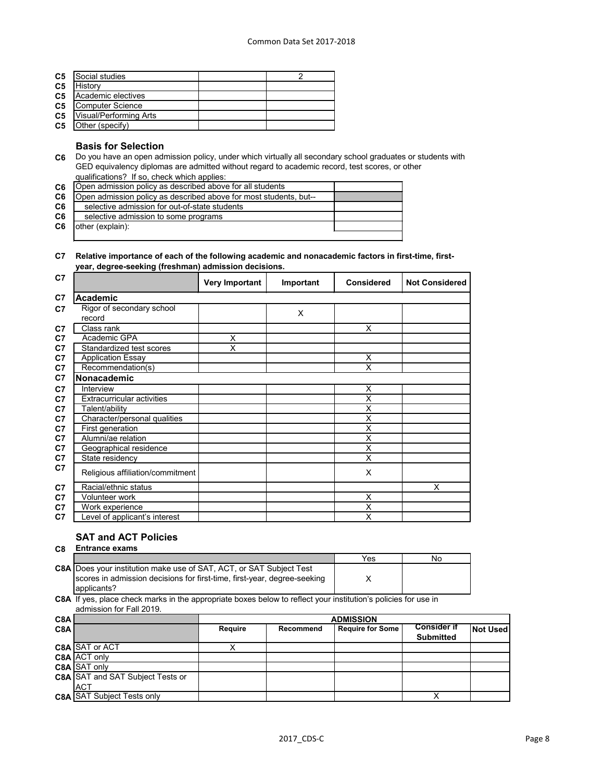| C <sub>5</sub> | Social studies                |  |
|----------------|-------------------------------|--|
| C <sub>5</sub> | History                       |  |
| C <sub>5</sub> | Academic electives            |  |
| C <sub>5</sub> | Computer Science              |  |
| C <sub>5</sub> | <b>Visual/Performing Arts</b> |  |
| C <sub>5</sub> | Other (specify)               |  |
|                |                               |  |

#### **Basis for Selection**

- **C6** Do you have an open admission policy, under which virtually all secondary school graduates or students with GED equivalency diplomas are admitted without regard to academic record, test scores, or other qualifications? If so, check which applies:
- **C6 C6 C6 C6 C6** Open admission policy as described above for all students Open admission policy as described above for most students, but- selective admission for out-of-state students selective admission to some programs other (explain):

#### **C7 Relative importance of each of the following academic and nonacademic factors in first-time, firstyear, degree-seeking (freshman) admission decisions.**

| C <sub>7</sub> |                                   | <b>Very Important</b> | Important | <b>Considered</b>  | <b>Not Considered</b> |
|----------------|-----------------------------------|-----------------------|-----------|--------------------|-----------------------|
| C <sub>7</sub> | <b>Academic</b>                   |                       |           |                    |                       |
| C <sub>7</sub> | Rigor of secondary school         |                       | X         |                    |                       |
|                | record                            |                       |           |                    |                       |
| C7             | Class rank                        |                       |           | X                  |                       |
| C7             | Academic GPA                      | X                     |           |                    |                       |
| C <sub>7</sub> | Standardized test scores          | X                     |           |                    |                       |
| C7             | <b>Application Essay</b>          |                       |           | X                  |                       |
| C7             | Recommendation(s)                 |                       |           | X                  |                       |
| C7             | Nonacademic                       |                       |           |                    |                       |
| C <sub>7</sub> | Interview                         |                       |           | Χ                  |                       |
| C <sub>7</sub> | <b>Extracurricular activities</b> |                       |           | X                  |                       |
| C <sub>7</sub> | Talent/ability                    |                       |           | X                  |                       |
| C7             | Character/personal qualities      |                       |           | X                  |                       |
| C <sub>7</sub> | First generation                  |                       |           | X                  |                       |
| C7             | Alumni/ae relation                |                       |           | Χ                  |                       |
| C7             | Geographical residence            |                       |           | Χ                  |                       |
| C7             | State residency                   |                       |           | X                  |                       |
| C7             | Religious affiliation/commitment  |                       |           | X                  |                       |
| C7             | Racial/ethnic status              |                       |           |                    | X                     |
| C7             | Volunteer work                    |                       |           | X                  |                       |
| C7             | Work experience                   |                       |           | X                  |                       |
| C7             | evel of applicant's interest      |                       |           | $\bar{\mathsf{x}}$ |                       |

# **SAT and ACT Policies**

| C <sub>8</sub> | <b>Entrance exams</b>                                                                                                                                                  |     |    |
|----------------|------------------------------------------------------------------------------------------------------------------------------------------------------------------------|-----|----|
|                |                                                                                                                                                                        | Yes | No |
|                | <b>C8A</b> Does your institution make use of SAT, ACT, or SAT Subject Test<br>scores in admission decisions for first-time, first-year, degree-seeking<br>lapplicants? |     |    |
|                |                                                                                                                                                                        | .   |    |

**C8A** If yes, place check marks in the appropriate boxes below to reflect your institution's policies for use in admission for Fall 2019.

| C8A |                                         | <b>ADMISSION</b> |           |                         |                    |          |
|-----|-----------------------------------------|------------------|-----------|-------------------------|--------------------|----------|
| C8A |                                         | <b>Require</b>   | Recommend | <b>Require for Some</b> | <b>Consider if</b> | Not Used |
|     |                                         |                  |           |                         | <b>Submitted</b>   |          |
|     | C8A SAT or ACT                          |                  |           |                         |                    |          |
|     | C8A ACT only                            |                  |           |                         |                    |          |
|     | C8A SAT only                            |                  |           |                         |                    |          |
|     | <b>C8A SAT and SAT Subject Tests or</b> |                  |           |                         |                    |          |
|     | <b>ACT</b>                              |                  |           |                         |                    |          |
|     | <b>C8A SAT Subject Tests only</b>       |                  |           |                         |                    |          |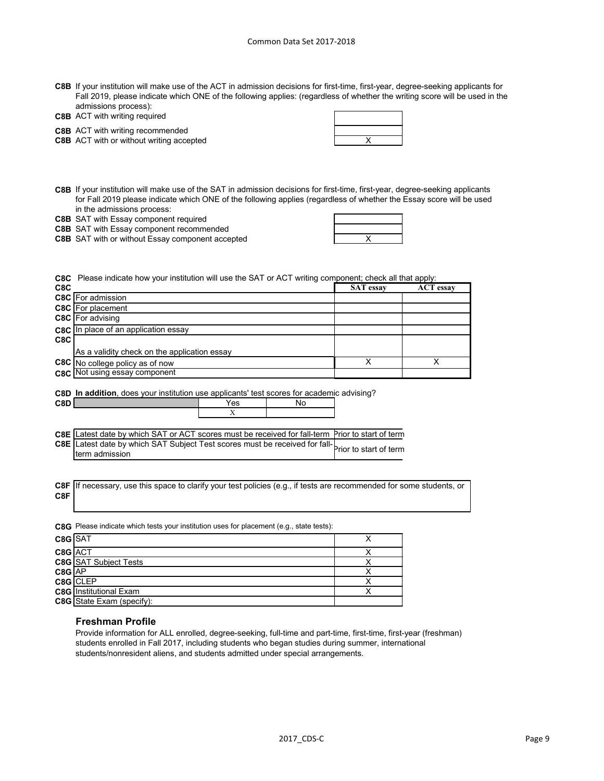- **C8B** If your institution will make use of the ACT in admission decisions for first-time, first-year, degree-seeking applicants for Fall 2019, please indicate which ONE of the following applies: (regardless of whether the writing score will be used in the admissions process):
- **C8B** ACT with writing required

**C8B** ACT with writing recommended

**C8B** X ACT with or without writing accepted

- **C8B** If your institution will make use of the SAT in admission decisions for first-time, first-year, degree-seeking applicants for Fall 2019 please indicate which ONE of the following applies (regardless of whether the Essay score will be used in the admissions process:
- **C8B** SAT with Essay component required

**C8B** SAT with Essay component recommended

**C8B** X SAT with or without Essay component accepted

| X |  |
|---|--|

|       | <b>C8C</b> Please indicate how your institution will use the SAT or ACT writing component; check all that apply: |                  |                  |  |
|-------|------------------------------------------------------------------------------------------------------------------|------------------|------------------|--|
| C8C   |                                                                                                                  | <b>SAT</b> essay | <b>ACT</b> essay |  |
|       | <b>C8C</b> For admission                                                                                         |                  |                  |  |
|       | <b>C8C</b> For placement                                                                                         |                  |                  |  |
|       | C8C For advising                                                                                                 |                  |                  |  |
|       | C8C In place of an application essay                                                                             |                  |                  |  |
| C8C I |                                                                                                                  |                  |                  |  |
|       | As a validity check on the application essay                                                                     |                  |                  |  |
|       | C8C No college policy as of now                                                                                  |                  |                  |  |
|       | C8C Not using essay component                                                                                    |                  |                  |  |
|       |                                                                                                                  |                  |                  |  |

**C8D In addition**, does your institution use applicants' test scores for academic advising?



| C8E Latest date by which SAT or ACT scores must be received for fall-term Prior to start of term |  |
|--------------------------------------------------------------------------------------------------|--|
| SE Latest date by which SAT Subject Test scores must be received for fall-                       |  |
| Iterm admission                                                                                  |  |

**C8F** If necessary, use this space to clarify your test policies (e.g., if tests are recommended for some students, or **C8F**

**C8G** Please indicate which tests your institution uses for placement (e.g., state tests):

| <b>C8G</b> SAT |                                  |  |
|----------------|----------------------------------|--|
| C8G ACT        |                                  |  |
|                | <b>C8G</b> SAT Subject Tests     |  |
| $C8G$ $AP$     |                                  |  |
|                | C8G CLEP                         |  |
|                | <b>C8G</b> Institutional Exam    |  |
|                | <b>C8G</b> State Exam (specify): |  |

#### **Freshman Profile**

Provide information for ALL enrolled, degree-seeking, full-time and part-time, first-time, first-year (freshman) students enrolled in Fall 2017, including students who began studies during summer, international students/nonresident aliens, and students admitted under special arrangements.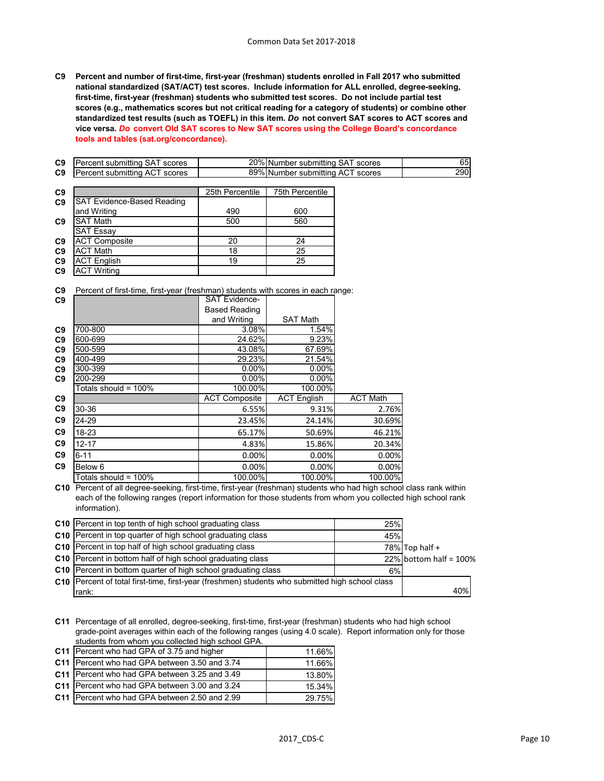**C9 Percent and number of first-time, first-year (freshman) students enrolled in Fall 2017 who submitted national standardized (SAT/ACT) test scores. Include information for ALL enrolled, degree-seeking, first-time, first-year (freshman) students who submitted test scores. Do not include partial test scores (e.g., mathematics scores but not critical reading for a category of students) or combine other standardized test results (such as TOEFL) in this item.** *Do* **not convert SAT scores to ACT scores and vice versa.** *Do* **convert Old SAT scores to New SAT scores using the College Board's concordance tools and tables (sat.org/concordance).**

| C <sub>9</sub> | Percent submitting SAT scores     |                 | 20% Number submitting SAT scores |  |     |
|----------------|-----------------------------------|-----------------|----------------------------------|--|-----|
| C <sub>9</sub> | Percent submitting ACT scores     |                 | 89% Number submitting ACT scores |  | 290 |
|                |                                   |                 |                                  |  |     |
| C <sub>9</sub> |                                   | 25th Percentile | 75th Percentile                  |  |     |
| C <sub>9</sub> | <b>SAT Evidence-Based Reading</b> |                 |                                  |  |     |
|                | and Writing                       | 490             | 600                              |  |     |
| C9             | <b>SAT Math</b>                   | 500             | 560                              |  |     |
|                | <b>SAT Essay</b>                  |                 |                                  |  |     |
| co.            | $\Lambda$ CT Camposita            | nn.             | $\Omega$                         |  |     |

| <b>C9 JACT</b> Composite |     |  |
|--------------------------|-----|--|
| <b>ACT Math</b>          |     |  |
| <b>ACT English</b>       | 1 Q |  |
| <b>ACT Writing</b>       |     |  |
|                          |     |  |

**C9** Percent of first-time, first-year (freshman) students with scores in each range:

| C <sub>9</sub> |                           | <b>SAT Evidence-</b> |                    |                 |
|----------------|---------------------------|----------------------|--------------------|-----------------|
|                |                           | <b>Based Reading</b> |                    |                 |
|                |                           | and Writing          | <b>SAT Math</b>    |                 |
| C <sub>9</sub> | 700-800                   | 3.08%                | 1.54%              |                 |
| C <sub>9</sub> | 600-699                   | 24.62%               | 9.23%              |                 |
| C <sub>9</sub> | 500-599                   | 43.08%               | 67.69%             |                 |
| C <sub>9</sub> | 400-499                   | 29.23%               | 21.54%             |                 |
| C <sub>9</sub> | 300-399                   | 0.00%                | 0.00%              |                 |
| C9             | 200-299                   | 0.00%                | 0.00%              |                 |
|                | Totals should = 100%      | 100.00%              | 100.00%            |                 |
| C9             |                           | <b>ACT Composite</b> | <b>ACT English</b> | <b>ACT Math</b> |
| C <sub>9</sub> | 30-36                     | 6.55%                | 9.31%              | 2.76%           |
| C <sub>9</sub> | 24-29                     | 23.45%               | 24.14%             | 30.69%          |
| C9             | 18-23                     | 65.17%               | 50.69%             | 46.21%          |
| C <sub>9</sub> | $12 - 17$                 | 4.83%                | 15.86%             | 20.34%          |
| C9             | $6 - 11$                  | 0.00%                | 0.00%              | 0.00%           |
| C <sub>9</sub> | Below 6                   | 0.00%                | 0.00%              | 0.00%           |
|                | Totals should = 100% $\,$ | 100.00%              | 100.00%            | 100.00%         |

**C10** Percent of all degree-seeking, first-time, first-year (freshman) students who had high school class rank within each of the following ranges (report information for those students from whom you collected high school rank information).

| C10 Percent in top tenth of high school graduating class                                        | 25% |                           |
|-------------------------------------------------------------------------------------------------|-----|---------------------------|
| C10 Percent in top quarter of high school graduating class                                      | 45% |                           |
| C10 Percent in top half of high school graduating class                                         |     | $78\%$ Top half +         |
| C10 Percent in bottom half of high school graduating class                                      |     | 22% bottom half = $100\%$ |
| C10 Percent in bottom quarter of high school graduating class                                   | 6%  |                           |
| C10 Percent of total first-time, first-year (freshmen) students who submitted high school class |     |                           |
| ∣rank:                                                                                          |     | 40%                       |

**C11** Percentage of all enrolled, degree-seeking, first-time, first-year (freshman) students who had high school grade-point averages within each of the following ranges (using 4.0 scale). Report information only for those students from whom you collected high school GPA.

| C11 Percent who had GPA of 3.75 and higher    | 11.66% |
|-----------------------------------------------|--------|
| C11 Percent who had GPA between 3.50 and 3.74 | 11.66% |
| C11 Percent who had GPA between 3.25 and 3.49 | 13.80% |
| C11 Percent who had GPA between 3.00 and 3.24 | 15.34% |
| C11 Percent who had GPA between 2.50 and 2.99 | 29.75% |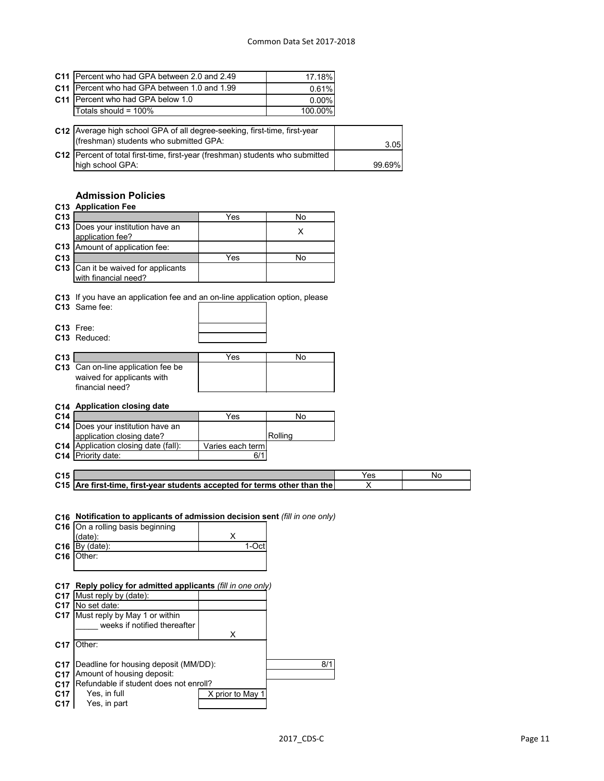| C11 IPercent who had GPA between 2.0 and 2.49                                   | 17.18%  |        |
|---------------------------------------------------------------------------------|---------|--------|
| C11   Percent who had GPA between 1.0 and 1.99                                  | 0.61%   |        |
| C11 Percent who had GPA below 1.0                                               | 0.00%   |        |
| Totals should = $100\%$                                                         | 100.00% |        |
|                                                                                 |         |        |
| C12 Average high school GPA of all degree-seeking, first-time, first-year       |         |        |
| (freshman) students who submitted GPA:                                          |         | 3.05   |
| C12   Percent of total first-time, first-year (freshman) students who submitted |         |        |
| high school GPA:                                                                |         | 99.69% |

# **Admission Policies**

|                 | <b>C13 Application Fee</b>                                                                                                                                                    |                         |         |     |           |
|-----------------|-------------------------------------------------------------------------------------------------------------------------------------------------------------------------------|-------------------------|---------|-----|-----------|
| C13             |                                                                                                                                                                               | Yes                     | No      |     |           |
|                 | C13  Does your institution have an<br>application fee?                                                                                                                        |                         | X       |     |           |
| C13             | Amount of application fee:                                                                                                                                                    |                         |         |     |           |
| C13             |                                                                                                                                                                               | Yes                     | No      |     |           |
|                 | C13 Can it be waived for applicants<br>with financial need?                                                                                                                   |                         |         |     |           |
|                 | C13 If you have an application fee and an on-line application option, please<br>C13 Same fee:                                                                                 |                         |         |     |           |
|                 | C13 Free:<br>C13 Reduced:                                                                                                                                                     |                         |         |     |           |
| C13             |                                                                                                                                                                               | Yes                     | No      |     |           |
|                 | C13 Can on-line application fee be<br>waived for applicants with<br>financial need?                                                                                           |                         |         |     |           |
|                 | C14 Application closing date                                                                                                                                                  |                         |         |     |           |
| C14             |                                                                                                                                                                               | Yes                     | No      |     |           |
|                 | C14   Does your institution have an                                                                                                                                           |                         |         |     |           |
|                 | application closing date?<br>C14 Application closing date (fall):                                                                                                             |                         | Rolling |     |           |
|                 | C14 Priority date:                                                                                                                                                            | Varies each term<br>6/1 |         |     |           |
|                 |                                                                                                                                                                               |                         |         |     |           |
| C <sub>15</sub> |                                                                                                                                                                               |                         |         | Yes | <b>No</b> |
|                 | C15 Are first-time, first-year students accepted for terms other than the                                                                                                     |                         |         | X   |           |
| C16             | C16 Notification to applicants of admission decision sent (fill in one only)<br>C16 On a rolling basis beginning<br>$(data)$ :<br>$C16$ By (date):<br>Other:                  | X<br>1-Oct              |         |     |           |
| C <sub>17</sub> | C17 Reply policy for admitted applicants (fill in one only)<br>Must reply by (date):<br>C17 No set date:<br>C17 Must reply by May 1 or within<br>weeks if notified thereafter | X                       |         |     |           |
| C17             | Other:                                                                                                                                                                        |                         |         |     |           |
|                 | C17   Deadline for housing deposit (MM/DD):                                                                                                                                   |                         | 8/1     |     |           |

- **C17** Amount of housing deposit:
- **C17 C17** Yes, in full **X** prior to May 1 **C17** Yes, in part Refundable if student does not enroll?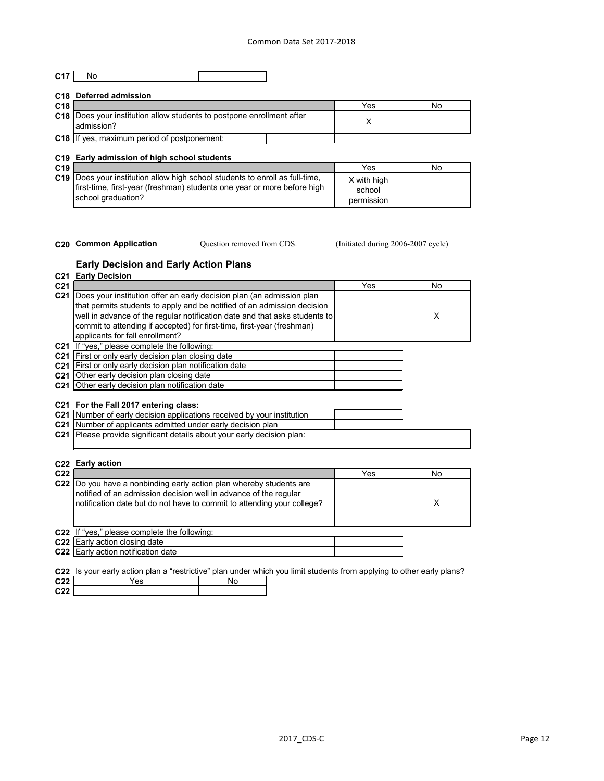# **C17** No

|                 | C <sub>18</sub> Deferred admission                                                     |     |    |
|-----------------|----------------------------------------------------------------------------------------|-----|----|
| C <sub>18</sub> |                                                                                        | Yes | Nο |
|                 | C18   Does your institution allow students to postpone enrollment after<br>ladmission? |     |    |
|                 | <b>C18</b> If yes, maximum period of postponement:                                     |     |    |

## **C19 Early admission of high school students**

| C <sub>19</sub> |                                                                                                                                                                                      | Yes                                 | No |
|-----------------|--------------------------------------------------------------------------------------------------------------------------------------------------------------------------------------|-------------------------------------|----|
|                 | <b>C19</b> Does your institution allow high school students to enroll as full-time,<br>first-time, first-year (freshman) students one year or more before high<br>school graduation? | X with high<br>school<br>permission |    |

- 
- Question removed from CDS.

**C20 Common Application** Question removed from CDS. (Initiated during 2006-2007 cycle)

## **Early Decision and Early Action Plans**

|                 | <b>C21 Early Decision</b>                                                  |     |     |
|-----------------|----------------------------------------------------------------------------|-----|-----|
| C <sub>21</sub> |                                                                            | Yes | No. |
| C <sub>21</sub> | Does your institution offer an early decision plan (an admission plan      |     |     |
|                 | that permits students to apply and be notified of an admission decision    |     |     |
|                 | well in advance of the regular notification date and that asks students to |     | X   |
|                 | commit to attending if accepted) for first-time, first-year (freshman)     |     |     |
|                 | applicants for fall enrollment?                                            |     |     |
|                 | C21 If "yes," please complete the following:                               |     |     |
| C <sub>21</sub> | First or only early decision plan closing date                             |     |     |
| C <sub>21</sub> | First or only early decision plan notification date                        |     |     |
| $C21$ I         | Other early decision plan closing date                                     |     |     |
|                 | C21 Other early decision plan notification date                            |     |     |
|                 |                                                                            |     |     |
|                 | C21 For the Fall 2017 entering class:                                      |     |     |
|                 | C21 Number of early decision applications received by your institution     |     |     |
|                 | C21 Number of applicants admitted under early decision plan                |     |     |
| C21             | Please provide significant details about your early decision plan:         |     |     |
|                 |                                                                            |     |     |
|                 |                                                                            |     |     |
| C <sub>22</sub> | <b>Early action</b>                                                        |     |     |
| C <sub>22</sub> |                                                                            | Yes | No  |
|                 | C22  Do you have a nonbinding early action plan whereby students are       |     |     |
|                 | notified of an admission decision well in advance of the regular           |     |     |
|                 | notification date but do not have to commit to attending your college?     |     | X   |
|                 |                                                                            |     |     |
|                 |                                                                            |     |     |
|                 | C22 If "yes," please complete the following:                               |     |     |

**C22** Early action closing date

**C22** Early action notification date

**C22** Is your early action plan a "restrictive" plan under which you limit students from applying to other early plans?

| C <sub>22</sub> | ဗဒ |  |
|-----------------|----|--|
| C.22            |    |  |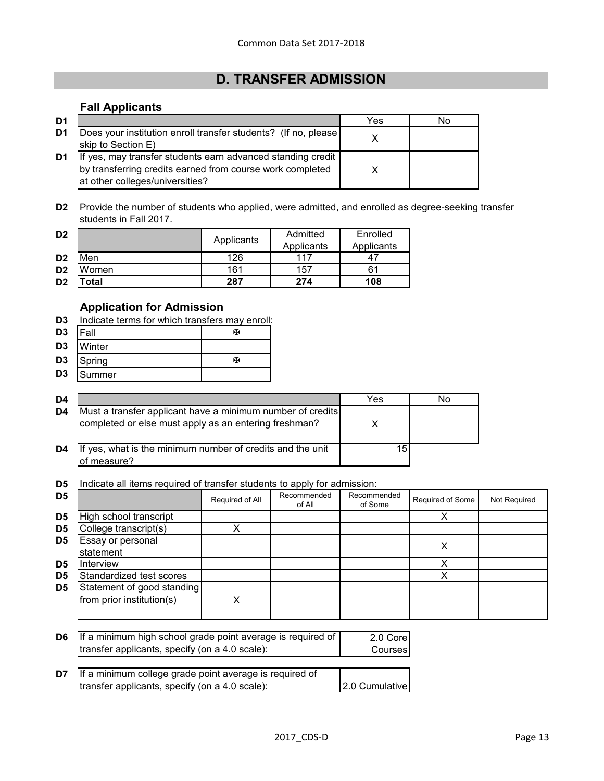# **D. TRANSFER ADMISSION**

# **Fall Applicants**

| D <sub>1</sub> |                                                                                                                                                             | Yes | No |
|----------------|-------------------------------------------------------------------------------------------------------------------------------------------------------------|-----|----|
| D <sub>1</sub> | Does your institution enroll transfer students? (If no, please<br>skip to Section E)                                                                        |     |    |
| D <sub>1</sub> | If yes, may transfer students earn advanced standing credit<br>by transferring credits earned from course work completed<br>at other colleges/universities? |     |    |

**D2** Provide the number of students who applied, were admitted, and enrolled as degree-seeking transfer students in Fall 2017.

| D <sub>2</sub> |       | Applicants | Admitted<br>Applicants | Enrolled<br>Applicants |
|----------------|-------|------------|------------------------|------------------------|
| D <sub>2</sub> | Men   | 126        | 117                    |                        |
| D <sub>2</sub> | Women | 161        | 157                    |                        |
| D <sub>2</sub> | 'otal | 287        | 274                    | 108                    |

## **Application for Admission**

**D3** Indicate terms for which transfers may enroll:

| $D3$  Fall     |           | х |
|----------------|-----------|---|
| D <sub>3</sub> | Winter    |   |
|                | D3 Spring | х |
| D <sub>3</sub> | Summer    |   |

| D4 |                                                                                                                     | Yes | NΟ |
|----|---------------------------------------------------------------------------------------------------------------------|-----|----|
| D4 | Must a transfer applicant have a minimum number of credits<br>completed or else must apply as an entering freshman? |     |    |
| D4 | If yes, what is the minimum number of credits and the unit<br>of measure?                                           |     |    |

**D5** Indicate all items required of transfer students to apply for admission:

| D <sub>5</sub> |                                                         | Required of All | Recommended<br>of All | Recommended<br>of Some | Required of Some | Not Required |
|----------------|---------------------------------------------------------|-----------------|-----------------------|------------------------|------------------|--------------|
| D <sub>5</sub> | High school transcript                                  |                 |                       |                        |                  |              |
| D <sub>5</sub> | College transcript(s)                                   |                 |                       |                        |                  |              |
| D <sub>5</sub> | Essay or personal<br>statement                          |                 |                       |                        |                  |              |
| D <sub>5</sub> | Interview                                               |                 |                       |                        |                  |              |
| D <sub>5</sub> | Standardized test scores                                |                 |                       |                        |                  |              |
| D <sub>5</sub> | Statement of good standing<br>from prior institution(s) | Χ               |                       |                        |                  |              |

| <b>D6</b> If a minimum high school grade point average is required of | 2.0 Corel |
|-----------------------------------------------------------------------|-----------|
| transfer applicants, specify (on a 4.0 scale):                        | Courses   |
|                                                                       |           |

| $\mathsf{D7}$ If a minimum college grade point average is required of |                |
|-----------------------------------------------------------------------|----------------|
| transfer applicants, specify (on a 4.0 scale):                        | 2.0 Cumulative |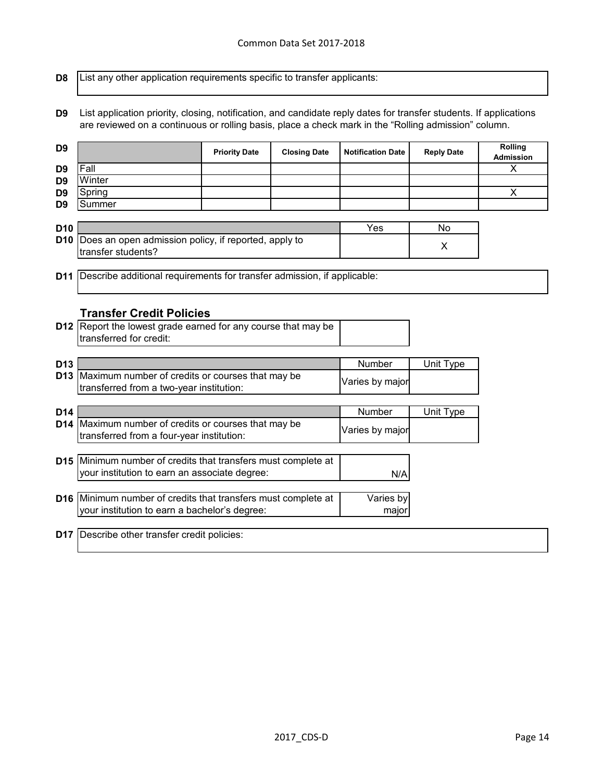**D8** List any other application requirements specific to transfer applicants:

**D9** List application priority, closing, notification, and candidate reply dates for transfer students. If applications are reviewed on a continuous or rolling basis, place a check mark in the "Rolling admission" column.

| D <sub>9</sub>  |                                                                         | <b>Priority Date</b> | <b>Closing Date</b> | <b>Notification Date</b> | <b>Reply Date</b> | Rolling<br><b>Admission</b> |
|-----------------|-------------------------------------------------------------------------|----------------------|---------------------|--------------------------|-------------------|-----------------------------|
| D <sub>9</sub>  | Fall                                                                    |                      |                     |                          |                   | X                           |
| D <sub>9</sub>  | Winter                                                                  |                      |                     |                          |                   |                             |
| D <sub>9</sub>  | Spring                                                                  |                      |                     |                          |                   | X                           |
| D <sub>9</sub>  | Summer                                                                  |                      |                     |                          |                   |                             |
|                 |                                                                         |                      |                     |                          |                   |                             |
| D <sub>10</sub> |                                                                         |                      |                     | Yes                      | No                |                             |
| D <sub>10</sub> | Does an open admission policy, if reported, apply to                    |                      |                     |                          | X                 |                             |
|                 | transfer students?                                                      |                      |                     |                          |                   |                             |
|                 |                                                                         |                      |                     |                          |                   |                             |
| D11             | Describe additional requirements for transfer admission, if applicable: |                      |                     |                          |                   |                             |
|                 |                                                                         |                      |                     |                          |                   |                             |
|                 |                                                                         |                      |                     |                          |                   |                             |
|                 | <b>Transfer Credit Policies</b>                                         |                      |                     |                          |                   |                             |
|                 | D12 Report the lowest grade earned for any course that may be           |                      |                     |                          |                   |                             |
|                 | transferred for credit:                                                 |                      |                     |                          |                   |                             |
|                 |                                                                         |                      |                     |                          |                   |                             |
|                 |                                                                         |                      |                     | Number                   | Unit Type         |                             |
| D <sub>13</sub> |                                                                         |                      |                     |                          |                   |                             |
| D <sub>13</sub> | Maximum number of credits or courses that may be                        |                      |                     |                          |                   |                             |
|                 | transferred from a two-year institution:                                |                      |                     | Varies by major          |                   |                             |
|                 |                                                                         |                      |                     |                          |                   |                             |
| D <sub>14</sub> |                                                                         |                      |                     | Number                   | Unit Type         |                             |
|                 | D14 Maximum number of credits or courses that may be                    |                      |                     | Varies by major          |                   |                             |
|                 | transferred from a four-year institution:                               |                      |                     |                          |                   |                             |
|                 |                                                                         |                      |                     |                          |                   |                             |
|                 | D15 Minimum number of credits that transfers must complete at           |                      |                     |                          |                   |                             |
|                 | your institution to earn an associate degree:                           |                      |                     | N/A                      |                   |                             |
|                 |                                                                         |                      |                     |                          |                   |                             |
|                 | D16 Minimum number of credits that transfers must complete at           |                      |                     | Varies by                |                   |                             |
|                 | your institution to earn a bachelor's degree:                           |                      |                     | major                    |                   |                             |
|                 | <b>D17</b> Describe other transfer credit policies:                     |                      |                     |                          |                   |                             |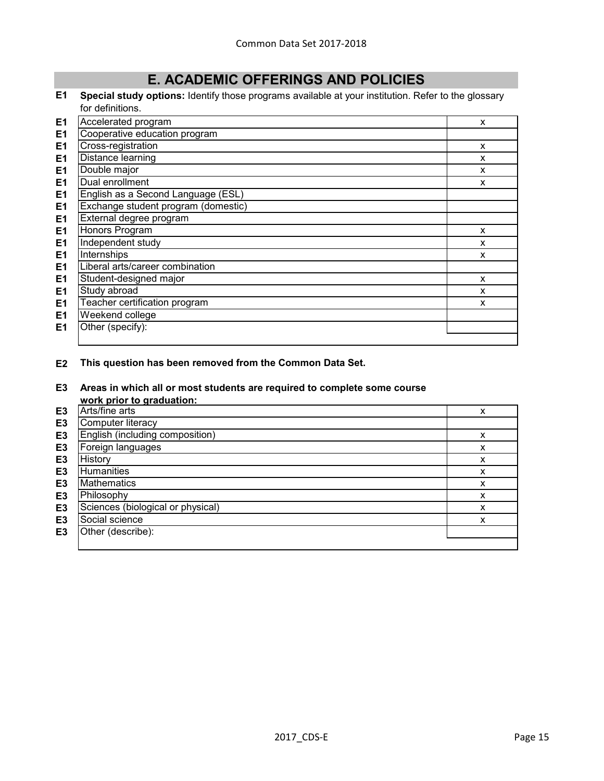# **E. ACADEMIC OFFERINGS AND POLICIES**

#### **E1 Special study options:** Identify those programs available at your institution. Refer to the glossary for definitions.

| E <sub>1</sub> | Accelerated program                 | X |
|----------------|-------------------------------------|---|
| E <sub>1</sub> | Cooperative education program       |   |
| E1             | Cross-registration                  | X |
| E <sub>1</sub> | Distance learning                   | X |
| E <sub>1</sub> | Double major                        | X |
| E <sub>1</sub> | Dual enrollment                     | X |
| E <sub>1</sub> | English as a Second Language (ESL)  |   |
| E <sub>1</sub> | Exchange student program (domestic) |   |
| E <sub>1</sub> | External degree program             |   |
| E <sub>1</sub> | Honors Program                      | X |
| E <sub>1</sub> | Independent study                   | X |
| E <sub>1</sub> | Internships                         | X |
| E <sub>1</sub> | Liberal arts/career combination     |   |
| E <sub>1</sub> | Student-designed major              | X |
| E <sub>1</sub> | Study abroad                        | X |
| E <sub>1</sub> | Teacher certification program       | X |
| E <sub>1</sub> | Weekend college                     |   |
| E <sub>1</sub> | Other (specify):                    |   |
|                |                                     |   |

**E2 This question has been removed from the Common Data Set.**

#### **E3 Areas in which all or most students are required to complete some course**

|                | work prior to graduation:         |   |
|----------------|-----------------------------------|---|
| E <sub>3</sub> | Arts/fine arts                    | x |
| E <sub>3</sub> | Computer literacy                 |   |
| E <sub>3</sub> | English (including composition)   | x |
| E <sub>3</sub> | Foreign languages                 | x |
| E <sub>3</sub> | History                           | х |
| E <sub>3</sub> | Humanities                        | x |
| E <sub>3</sub> | <b>Mathematics</b>                | x |
| E <sub>3</sub> | Philosophy                        | x |
| E <sub>3</sub> | Sciences (biological or physical) | x |
| E <sub>3</sub> | Social science                    | x |
| E <sub>3</sub> | Other (describe):                 |   |
|                |                                   |   |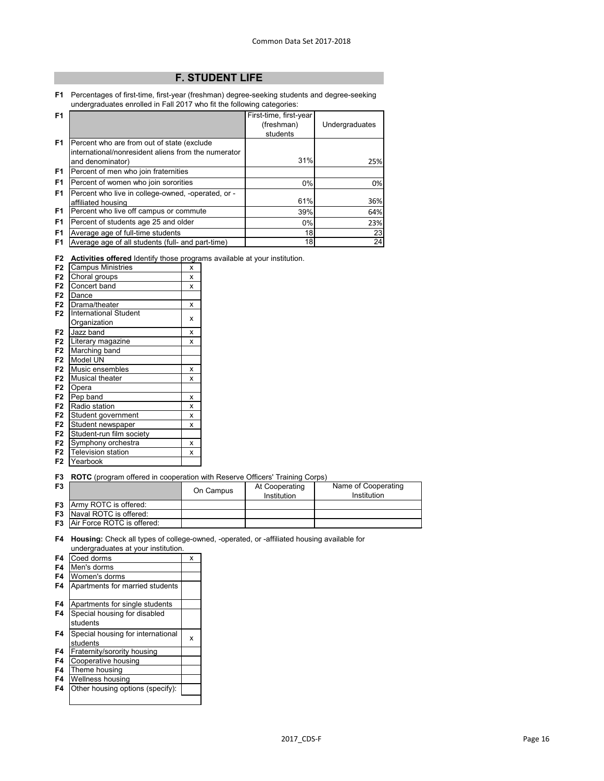# **F. STUDENT LIFE**

**F1** Percentages of first-time, first-year (freshman) degree-seeking students and degree-seeking undergraduates enrolled in Fall 2017 who fit the following categories:

| F <sub>1</sub> |                                                     | First-time, first-year |                |
|----------------|-----------------------------------------------------|------------------------|----------------|
|                |                                                     | (freshman)             | Undergraduates |
|                |                                                     | students               |                |
| F <sub>1</sub> | Percent who are from out of state (exclude          |                        |                |
|                | international/nonresident aliens from the numerator |                        |                |
|                | and denominator)                                    | 31%                    | 25%            |
| F <sub>1</sub> | Percent of men who join fraternities                |                        |                |
| F <sub>1</sub> | Percent of women who join sororities                | $0\%$                  | 0%             |
| F <sub>1</sub> | Percent who live in college-owned, -operated, or -  |                        |                |
|                | affiliated housing                                  | 61%                    | 36%            |
| F <sub>1</sub> | Percent who live off campus or commute              | 39%                    | 64%            |
| F <sub>1</sub> | Percent of students age 25 and older                | $0\%$                  | 23%            |
| F <sub>1</sub> | Average age of full-time students                   | 18                     | 23             |
| F <sub>1</sub> | Average age of all students (full- and part-time)   | 18                     | 24             |

**F2 Activities offered** Identify those programs available at your institution.

| F2             | <b>Campus Ministries</b>     | X |
|----------------|------------------------------|---|
| F <sub>2</sub> | Choral groups                | X |
| F <sub>2</sub> | Concert band                 | X |
| F <sub>2</sub> | Dance                        |   |
| F <sub>2</sub> | Drama/theater                | X |
| F <sub>2</sub> | <b>International Student</b> |   |
|                | Organization                 | x |
| F <sub>2</sub> | Jazz band                    | X |
| F <sub>2</sub> | Literary magazine            | X |
| F <sub>2</sub> | Marching band                |   |
| F <sub>2</sub> | Model UN                     |   |
| F <sub>2</sub> | Music ensembles              | X |
| F <sub>2</sub> | <b>Musical theater</b>       | X |
| F <sub>2</sub> | Opera                        |   |
| F <sub>2</sub> | Pep band                     | X |
| F <sub>2</sub> | Radio station                | X |
| F <sub>2</sub> | Student government           | X |
| F <sub>2</sub> | Student newspaper            | X |
| F <sub>2</sub> | Student-run film society     |   |
| F <sub>2</sub> | Symphony orchestra           | X |
| F <sub>2</sub> | <b>Television station</b>    | x |
| F2             | Yearbook                     |   |

**F2** Yearbook

**F3 ROTC** (program offered in cooperation with Reserve Officers' Training Corps)

| F <sub>3</sub> |                                      | On Campus | At Cooperating<br>Institution | Name of Cooperating<br>Institution |
|----------------|--------------------------------------|-----------|-------------------------------|------------------------------------|
|                | <b>F3</b> Army ROTC is offered:      |           |                               |                                    |
|                | <b>F3</b> Naval ROTC is offered:     |           |                               |                                    |
|                | <b>F3</b> Air Force ROTC is offered: |           |                               |                                    |

**F4 Housing:** Check all types of college-owned, -operated, or -affiliated housing available for undergraduates at your institution.

| F <sub>4</sub> | Coed dorms                        | x |
|----------------|-----------------------------------|---|
| F4             | Men's dorms                       |   |
| F4             | Women's dorms                     |   |
| F4             | Apartments for married students   |   |
|                |                                   |   |
| F4             | Apartments for single students    |   |
| F4             | Special housing for disabled      |   |
|                | students                          |   |
| F4             | Special housing for international | х |
|                | students                          |   |
| F4             | Fraternity/sorority housing       |   |
| F4             | Cooperative housing               |   |
| F4             | Theme housing                     |   |
| F4             | Wellness housing                  |   |
| F4             | Other housing options (specify):  |   |
|                |                                   |   |
|                |                                   |   |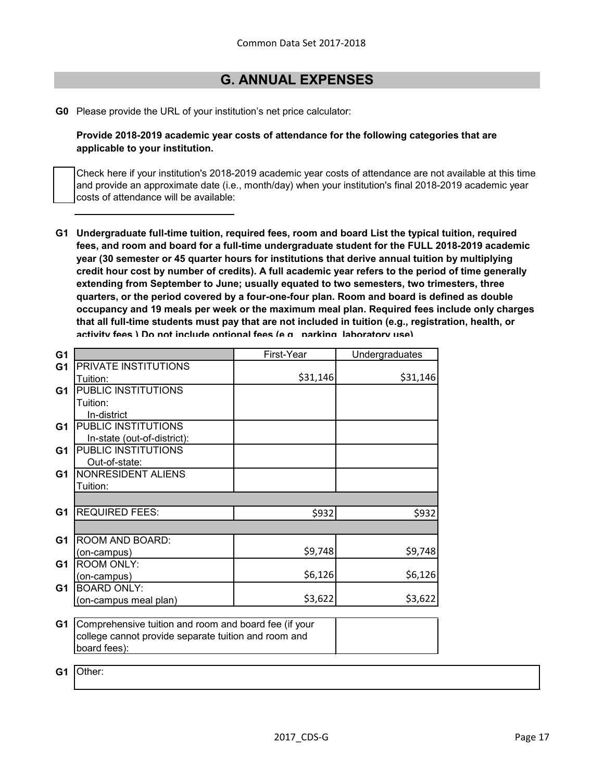# **G. ANNUAL EXPENSES**

**G0** Please provide the URL of your institution's net price calculator:

**Provide 2018-2019 academic year costs of attendance for the following categories that are applicable to your institution.**

Check here if your institution's 2018-2019 academic year costs of attendance are not available at this time and provide an approximate date (i.e., month/day) when your institution's final 2018-2019 academic year costs of attendance will be available:

**G1 Undergraduate full-time tuition, required fees, room and board List the typical tuition, required fees, and room and board for a full-time undergraduate student for the FULL 2018-2019 academic year (30 semester or 45 quarter hours for institutions that derive annual tuition by multiplying credit hour cost by number of credits). A full academic year refers to the period of time generally extending from September to June; usually equated to two semesters, two trimesters, three quarters, or the period covered by a four-one-four plan. Room and board is defined as double occupancy and 19 meals per week or the maximum meal plan. Required fees include only charges that all full-time students must pay that are not included in tuition (e.g., registration, health, or activity fees ) Do not include optional fees (e g parking laboratory use)**

| G <sub>1</sub> |                                                       | First-Year | Undergraduates |
|----------------|-------------------------------------------------------|------------|----------------|
| G <sub>1</sub> | PRIVATE INSTITUTIONS                                  |            |                |
|                | Tuition:                                              | \$31,146   | \$31,146       |
| G <sub>1</sub> | PUBLIC INSTITUTIONS                                   |            |                |
|                | Tuition:                                              |            |                |
|                | In-district                                           |            |                |
| G1             | PUBLIC INSTITUTIONS                                   |            |                |
|                | In-state (out-of-district):                           |            |                |
| G <sub>1</sub> | PUBLIC INSTITUTIONS                                   |            |                |
|                | Out-of-state:                                         |            |                |
| G <sub>1</sub> | NONRESIDENT ALIENS                                    |            |                |
|                | Tuition:                                              |            |                |
|                |                                                       |            |                |
| G <sub>1</sub> | <b>REQUIRED FEES:</b>                                 | \$932      | \$932          |
|                |                                                       |            |                |
| G <sub>1</sub> | ROOM AND BOARD:                                       |            |                |
|                | (on-campus)                                           | \$9,748    | \$9,748        |
| G1             | ROOM ONLY:                                            |            |                |
|                | (on-campus)                                           | \$6,126    | \$6,126        |
| G <sub>1</sub> | <b>BOARD ONLY:</b>                                    |            |                |
|                | (on-campus meal plan)                                 | \$3,622    | \$3,622        |
|                |                                                       |            |                |
| G <sub>1</sub> | Comprehensive tuition and room and board fee (if your |            |                |
|                | college cannot provide separate tuition and room and  |            |                |
|                | board fees):                                          |            |                |
|                |                                                       |            |                |
| G1             | Other:                                                |            |                |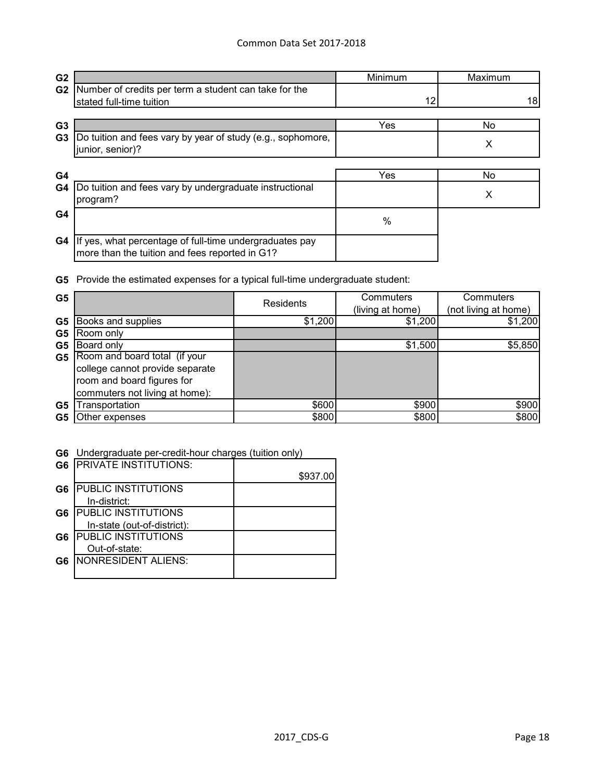| G <sub>2</sub> |                                                                                                           | Minimum | Maximum |
|----------------|-----------------------------------------------------------------------------------------------------------|---------|---------|
| G <sub>2</sub> | Number of credits per term a student can take for the<br>stated full-time tuition                         | 12      | 181     |
| G <sub>3</sub> |                                                                                                           | Yes     | No      |
| G <sub>3</sub> | Do tuition and fees vary by year of study (e.g., sophomore,<br>junior, senior)?                           |         | Х       |
| G4             |                                                                                                           | Yes     | No      |
| G4             | Do tuition and fees vary by undergraduate instructional<br>program?                                       |         | Х       |
| G4             |                                                                                                           | $\%$    |         |
| G4             | If yes, what percentage of full-time undergraduates pay<br>more than the tuition and fees reported in G1? |         |         |

**G5** Provide the estimated expenses for a typical full-time undergraduate student:

| G <sub>5</sub> |                                 | Residents | Commuters<br>(living at home) | Commuters<br>(not living at home) |
|----------------|---------------------------------|-----------|-------------------------------|-----------------------------------|
| G <sub>5</sub> | Books and supplies              | \$1,200   | \$1,200                       | \$1,200                           |
| G <sub>5</sub> | Room only                       |           |                               |                                   |
| G5             | Board only                      |           | \$1,500                       | \$5,850                           |
| G <sub>5</sub> | Room and board total (if your   |           |                               |                                   |
|                | college cannot provide separate |           |                               |                                   |
|                | room and board figures for      |           |                               |                                   |
|                | commuters not living at home):  |           |                               |                                   |
| G <sub>5</sub> | Transportation                  | \$600     | \$900                         | \$900                             |
| G5             | Other expenses                  | \$800     | \$800                         | \$800                             |

**G6** Undergraduate per-credit-hour charges (tuition only)

| G <sub>6</sub> | <b>PRIVATE INSTITUTIONS:</b> |          |
|----------------|------------------------------|----------|
|                |                              | \$937.00 |
| G6             | <b>PUBLIC INSTITUTIONS</b>   |          |
|                | In-district:                 |          |
| G6             | <b>PUBLIC INSTITUTIONS</b>   |          |
|                | In-state (out-of-district):  |          |
| G6             | <b>PUBLIC INSTITUTIONS</b>   |          |
|                | Out-of-state:                |          |
| G6             | NONRESIDENT ALIENS:          |          |
|                |                              |          |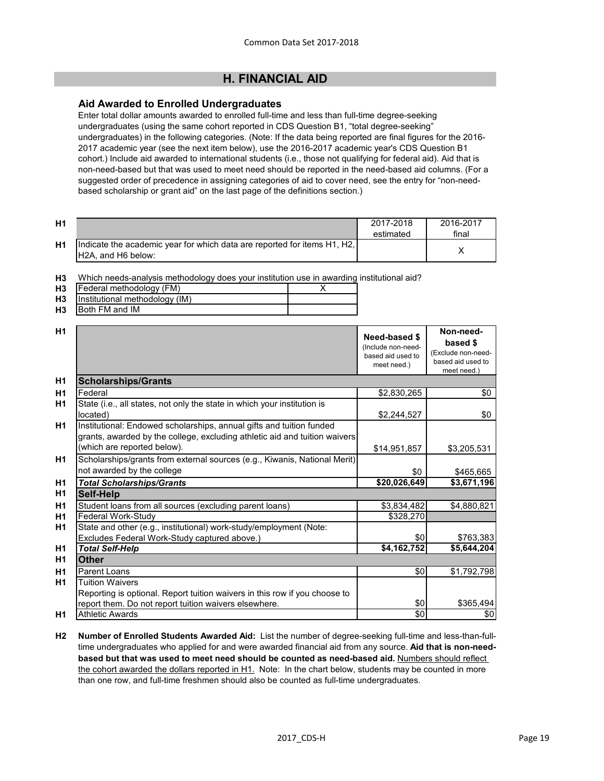# **H. FINANCIAL AID**

# **Aid Awarded to Enrolled Undergraduates**

Enter total dollar amounts awarded to enrolled full-time and less than full-time degree-seeking undergraduates (using the same cohort reported in CDS Question B1, "total degree-seeking" undergraduates) in the following categories. (Note: If the data being reported are final figures for the 2016- 2017 academic year (see the next item below), use the 2016-2017 academic year's CDS Question B1 cohort.) Include aid awarded to international students (i.e., those not qualifying for federal aid). Aid that is non-need-based but that was used to meet need should be reported in the need-based aid columns. (For a suggested order of precedence in assigning categories of aid to cover need, see the entry for "non-needbased scholarship or grant aid" on the last page of the definitions section.)

| H <sub>1</sub> |                                                                                                          | 2017-2018<br>estimated | 2016-2017<br>final |
|----------------|----------------------------------------------------------------------------------------------------------|------------------------|--------------------|
| H <sub>1</sub> | Indicate the academic year for which data are reported for items H1, H2, I<br><b>IH2A, and H6 below:</b> |                        |                    |

**H3** Which needs-analysis methodology does your institution use in awarding institutional aid?

|           | <b>H3</b>   Federal methodology (FM) |  |
|-----------|--------------------------------------|--|
|           | H3   Institutional methodology (IM)  |  |
| <b>H3</b> | Both FM and IM                       |  |

| H1             |                                                                            |                                     | Non-need-                        |  |
|----------------|----------------------------------------------------------------------------|-------------------------------------|----------------------------------|--|
|                |                                                                            | Need-based \$<br>(Include non-need- | based \$                         |  |
|                |                                                                            | based aid used to                   | (Exclude non-need-               |  |
|                |                                                                            | meet need.)                         | based aid used to<br>meet need.) |  |
| H1             | <b>Scholarships/Grants</b>                                                 |                                     |                                  |  |
| H1             | Federal                                                                    | \$2,830,265                         | \$0                              |  |
| H1             | State (i.e., all states, not only the state in which your institution is   |                                     |                                  |  |
|                | located)                                                                   | \$2,244,527                         | \$0                              |  |
| <b>H1</b>      | Institutional: Endowed scholarships, annual gifts and tuition funded       |                                     |                                  |  |
|                | grants, awarded by the college, excluding athletic aid and tuition waivers |                                     |                                  |  |
|                | (which are reported below).                                                | \$14,951,857                        | \$3,205,531                      |  |
| H1             | Scholarships/grants from external sources (e.g., Kiwanis, National Merit)  |                                     |                                  |  |
|                | not awarded by the college                                                 | \$0                                 | \$465,665                        |  |
| H1             | <b>Total Scholarships/Grants</b>                                           | \$20,026,649                        | \$3,671,196                      |  |
| H1             | <b>Self-Help</b>                                                           |                                     |                                  |  |
| H1             | Student loans from all sources (excluding parent loans)                    | \$3,834,482                         | \$4,880,821                      |  |
| H1             | <b>Federal Work-Study</b>                                                  | \$328,270                           |                                  |  |
| H1             | State and other (e.g., institutional) work-study/employment (Note:         |                                     |                                  |  |
|                | Excludes Federal Work-Study captured above.)                               | \$0                                 | \$763,383                        |  |
| H <sub>1</sub> | <b>Total Self-Help</b>                                                     | \$4,162,752                         | \$5,644,204                      |  |
| H1             | <b>Other</b>                                                               |                                     |                                  |  |
| H1             | <b>Parent Loans</b>                                                        | \$0                                 | \$1,792,798                      |  |
| H1             | <b>Tuition Waivers</b>                                                     |                                     |                                  |  |
|                | Reporting is optional. Report tuition waivers in this row if you choose to |                                     |                                  |  |
|                | report them. Do not report tuition waivers elsewhere.                      | \$0                                 | \$365,494                        |  |
| H1             | <b>Athletic Awards</b>                                                     | $\frac{1}{6}$                       | \$0                              |  |

**H2 Number of Enrolled Students Awarded Aid:** List the number of degree-seeking full-time and less-than-fulltime undergraduates who applied for and were awarded financial aid from any source. **Aid that is non-need**based but that was used to meet need should be counted as need-based aid. Numbers should reflect the cohort awarded the dollars reported in H1. Note: In the chart below, students may be counted in more than one row, and full-time freshmen should also be counted as full-time undergraduates.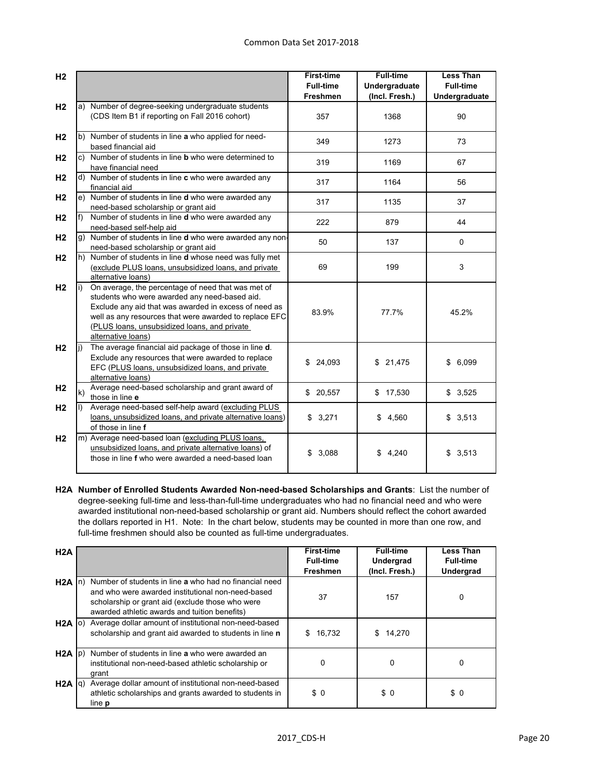| H <sub>2</sub> |              |                                                                                                                                                                                                                                                                                              | <b>First-time</b><br><b>Full-time</b> | <b>Full-time</b>                | <b>Less Than</b><br><b>Full-time</b> |
|----------------|--------------|----------------------------------------------------------------------------------------------------------------------------------------------------------------------------------------------------------------------------------------------------------------------------------------------|---------------------------------------|---------------------------------|--------------------------------------|
|                |              |                                                                                                                                                                                                                                                                                              | <b>Freshmen</b>                       | Undergraduate<br>(Incl. Fresh.) | Undergraduate                        |
| H <sub>2</sub> |              | a) Number of degree-seeking undergraduate students<br>(CDS Item B1 if reporting on Fall 2016 cohort)                                                                                                                                                                                         | 357                                   | 1368                            | 90                                   |
| H <sub>2</sub> |              | b) Number of students in line a who applied for need-<br>based financial aid                                                                                                                                                                                                                 | 349                                   | 1273                            | 73                                   |
| H <sub>2</sub> |              | c) Number of students in line <b>b</b> who were determined to<br>have financial need                                                                                                                                                                                                         | 319                                   | 1169                            | 67                                   |
| H <sub>2</sub> |              | d) Number of students in line c who were awarded any<br>financial aid                                                                                                                                                                                                                        | 317                                   | 1164                            | 56                                   |
| H <sub>2</sub> |              | e) Number of students in line d who were awarded any<br>need-based scholarship or grant aid                                                                                                                                                                                                  | 317                                   | 1135                            | 37                                   |
| H <sub>2</sub> | f)           | Number of students in line d who were awarded any<br>need-based self-help aid                                                                                                                                                                                                                | 222                                   | 879                             | 44                                   |
| H <sub>2</sub> |              | g) Number of students in line <b>d</b> who were awarded any non-<br>need-based scholarship or grant aid                                                                                                                                                                                      | 50                                    | 137                             | $\Omega$                             |
| H <sub>2</sub> |              | h) Number of students in line <b>d</b> whose need was fully met<br>(exclude PLUS loans, unsubsidized loans, and private<br>alternative loans)                                                                                                                                                | 69                                    | 199                             | $\mathsf 3$                          |
| H <sub>2</sub> | li)          | On average, the percentage of need that was met of<br>students who were awarded any need-based aid.<br>Exclude any aid that was awarded in excess of need as<br>well as any resources that were awarded to replace EFC<br>(PLUS loans, unsubsidized loans, and private<br>alternative loans) | 83.9%                                 | 77.7%                           | 45.2%                                |
| H <sub>2</sub> |              | The average financial aid package of those in line d.<br>Exclude any resources that were awarded to replace<br>EFC (PLUS loans, unsubsidized loans, and private<br>alternative loans)                                                                                                        | \$<br>24,093                          | \$21,475                        | \$<br>6,099                          |
| H <sub>2</sub> | $\mathsf{k}$ | Average need-based scholarship and grant award of<br>those in line e                                                                                                                                                                                                                         | \$20,557                              | \$17,530                        | \$3,525                              |
| H <sub>2</sub> |              | Average need-based self-help award (excluding PLUS<br>loans, unsubsidized loans, and private alternative loans)<br>of those in line f                                                                                                                                                        | \$3,271                               | \$4,560                         | \$3,513                              |
| H <sub>2</sub> |              | m) Average need-based loan (excluding PLUS loans,<br>unsubsidized loans, and private alternative loans) of<br>those in line f who were awarded a need-based loan                                                                                                                             | 3,088<br>\$                           | \$4,240                         | \$3,513                              |

**H2A Number of Enrolled Students Awarded Non-need-based Scholarships and Grants**: List the number of degree-seeking full-time and less-than-full-time undergraduates who had no financial need and who were awarded institutional non-need-based scholarship or grant aid. Numbers should reflect the cohort awarded the dollars reported in H1. Note: In the chart below, students may be counted in more than one row, and full-time freshmen should also be counted as full-time undergraduates.

| H2A               |                                                               | <b>First-time</b> | <b>Full-time</b> | <b>Less Than</b> |
|-------------------|---------------------------------------------------------------|-------------------|------------------|------------------|
|                   |                                                               | <b>Full-time</b>  | Undergrad        | <b>Full-time</b> |
|                   |                                                               | <b>Freshmen</b>   | (Incl. Fresh.)   | Undergrad        |
| $H2A \ln$         | Number of students in line a who had no financial need        |                   |                  |                  |
|                   | and who were awarded institutional non-need-based             |                   |                  |                  |
|                   | scholarship or grant aid (exclude those who were              | 37                | 157              | 0                |
|                   | awarded athletic awards and tuition benefits)                 |                   |                  |                  |
|                   | H2A (o) Average dollar amount of institutional non-need-based |                   |                  |                  |
|                   | scholarship and grant aid awarded to students in line n       | 16,732<br>\$      | 14,270<br>\$.    |                  |
|                   |                                                               |                   |                  |                  |
| $H2A$ $ p\rangle$ | Number of students in line a who were awarded an              |                   |                  |                  |
|                   | institutional non-need-based athletic scholarship or          | 0                 | 0                |                  |
|                   | grant                                                         |                   |                  |                  |
| $H2A  q\rangle$   | Average dollar amount of institutional non-need-based         |                   |                  |                  |
|                   | athletic scholarships and grants awarded to students in       | \$0               | \$0              | \$0              |
|                   | line <b>p</b>                                                 |                   |                  |                  |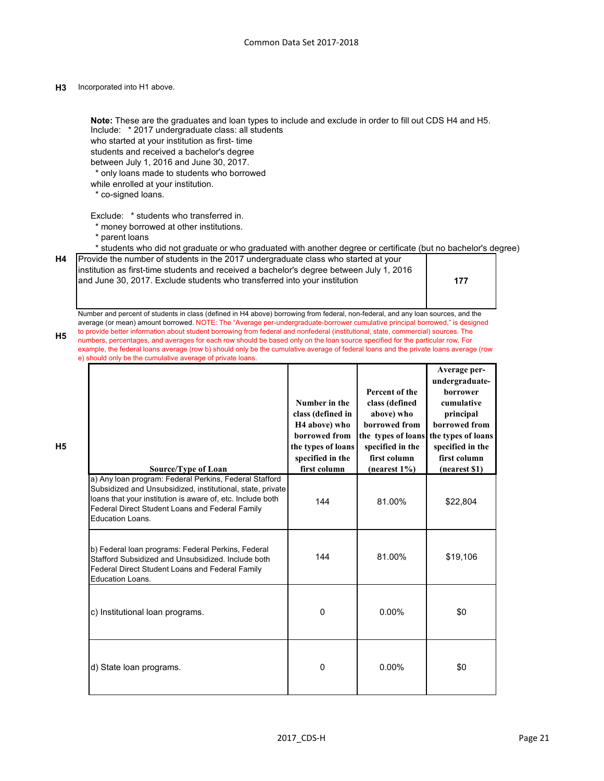#### **H3** Incorporated into H1 above.

Include: \* 2017 undergraduate class: all students who started at your institution as first- time students and received a bachelor's degree between July 1, 2016 and June 30, 2017. \* only loans made to students who borrowed while enrolled at your institution. \* co-signed loans. Exclude: \* students who transferred in. \* money borrowed at other institutions. \* parent loans \* students who did not graduate or who graduated with another degree or certificate (but no bachelor's degree) **H4 177 H5 H5** a) Any loan program: Federal Perkins, Federal Stafford Subsidized and Unsubsidized, institutional, state, private loans that your institution is aware of, etc. Include both Federal Direct Student Loans and Federal Family Education Loans. 144 | 81.00% | \$22,804 b) Federal loan programs: Federal Perkins, Federal Stafford Subsidized and Unsubsidized. Include both Federal Direct Student Loans and Federal Family Education Loans. 144 | 81.00% | \$19,106 c) Institutional loan programs.  $\begin{array}{ccc} \hline \text{c} & 0 & 0.00\% \end{array}$  50 d) State loan programs.  $\begin{array}{cccc} 0 & 0 & 0.00\% & \end{array}$  \$0 **Source/Type of Loan Number in the class (defined in H4 above) who borrowed from the types of loans specified in the first column Percent of the class (defined above) who borrowed from the types of loans specified in the first column (nearest 1%) Average perundergraduateborrower cumulative principal borrowed from the types of loans specified in the first column (nearest \$1) Note:** These are the graduates and loan types to include and exclude in order to fill out CDS H4 and H5. Provide the number of students in the 2017 undergraduate class who started at your institution as first-time students and received a bachelor's degree between July 1, 2016 and June 30, 2017. Exclude students who transferred into your institution Number and percent of students in class (defined in H4 above) borrowing from federal, non-federal, and any loan sources, and the average (or mean) amount borrowed. NOTE: The "Average per-undergraduate-borrower cumulative principal borrowed," is designed to provide better information about student borrowing from federal and nonfederal (institutional, state, commercial) sources. The numbers, percentages, and averages for each row should be based only on the loan source specified for the particular row. For example, the federal loans average (row b) should only be the cumulative average of federal loans and the private loans average (row e) should only be the cumulative average of private loans.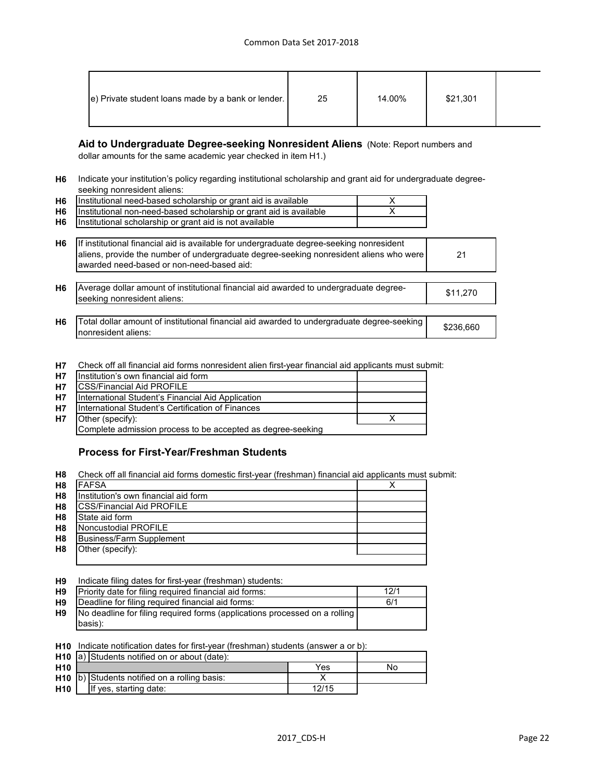| e) Private student loans made by a bank or lender. | 25 | 14.00% | \$21,301 |  |
|----------------------------------------------------|----|--------|----------|--|
|                                                    |    |        |          |  |

## **Aid to Undergraduate Degree-seeking Nonresident Aliens** (Note: Report numbers and

dollar amounts for the same academic year checked in item H1.)

**H6** Indicate your institution's policy regarding institutional scholarship and grant aid for undergraduate degreeseeking nonresident aliens:

| H6        | Institutional need-based scholarship or grant aid is available     |  |
|-----------|--------------------------------------------------------------------|--|
| <b>H6</b> | Institutional non-need-based scholarship or grant aid is available |  |
| <b>H6</b> | Institutional scholarship or grant aid is not available            |  |

| H <sub>6</sub> | If institutional financial aid is available for undergraduate degree-seeking nonresident<br>aliens, provide the number of undergraduate degree-seeking nonresident aliens who were<br>awarded need-based or non-need-based aid: | 21       |
|----------------|---------------------------------------------------------------------------------------------------------------------------------------------------------------------------------------------------------------------------------|----------|
| H <sub>6</sub> | Average dollar amount of institutional financial aid awarded to undergraduate degree-<br>seeking nonresident aliens:                                                                                                            | \$11,270 |

**H6** Total dollar amount of institutional financial aid awarded to undergraduate degree-seeking \$236,660<br>Incarceident eligne: nonresident aliens:

**H7** Check off all financial aid forms nonresident alien first-year financial aid applicants must submit:

| H7        | Institution's own financial aid form                        |  |
|-----------|-------------------------------------------------------------|--|
| H7        | <b>CSS/Financial Aid PROFILE</b>                            |  |
| H7        | International Student's Financial Aid Application           |  |
| <b>H7</b> | International Student's Certification of Finances           |  |
| <b>H7</b> | Other (specify):                                            |  |
|           | Complete admission process to be accepted as degree-seeking |  |
|           |                                                             |  |

## **Process for First-Year/Freshman Students**

**H8** Check off all financial aid forms domestic first-year (freshman) financial aid applicants must submit:

| H <sub>8</sub> | <b>FAFSA</b>                         |  |
|----------------|--------------------------------------|--|
| H <sub>8</sub> | Institution's own financial aid form |  |
| H <sub>8</sub> | <b>CSS/Financial Aid PROFILE</b>     |  |
| H <sub>8</sub> | State aid form                       |  |
| H <sub>8</sub> | Noncustodial PROFILE                 |  |
| H <sub>8</sub> | <b>Business/Farm Supplement</b>      |  |
| H <sub>8</sub> | Other (specify):                     |  |
|                |                                      |  |

**H9** Indicate filing dates for first-year (freshman) students:

| <b>H9</b>      | Priority date for filing required financial aid forms:                     | 12/1 |
|----------------|----------------------------------------------------------------------------|------|
| H <sub>9</sub> | Deadline for filing required financial aid forms:                          | 6/1  |
| H9             | No deadline for filing required forms (applications processed on a rolling |      |
|                | <b>Ibasis</b> ):                                                           |      |

**H10** Indicate notification dates for first-year (freshman) students (answer a or b):

|                 | <b>H10</b> $ a $ Students notified on or about (date): |                                                |       |    |
|-----------------|--------------------------------------------------------|------------------------------------------------|-------|----|
| H <sub>10</sub> |                                                        |                                                | Yes   | No |
|                 |                                                        | $H10$ b) Students notified on a rolling basis: |       |    |
| H <sub>10</sub> |                                                        | If yes, starting date:                         | 12/15 |    |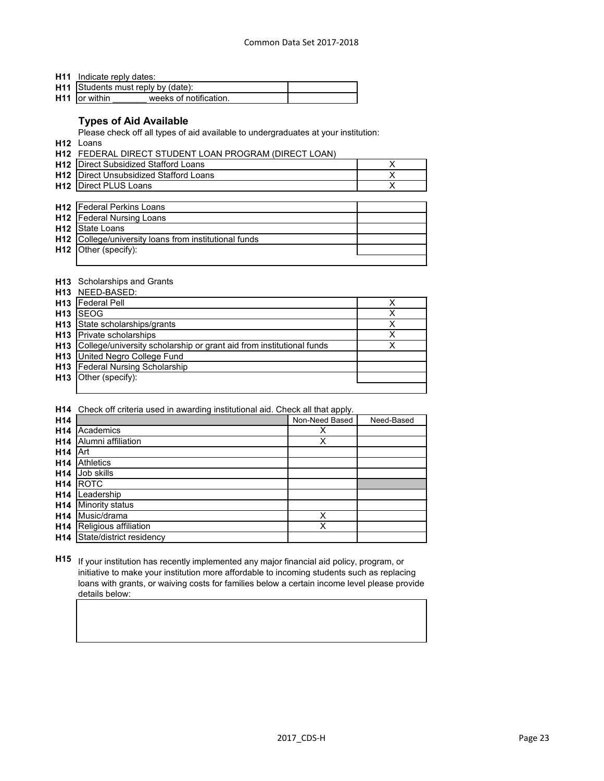**H11** Indicate reply dates:

| H11 Students must reply by (date): |                        |  |
|------------------------------------|------------------------|--|
| <b>H11</b> or within               | weeks of notification. |  |

# **Types of Aid Available**

Please check off all types of aid available to undergraduates at your institution:

**H12** Loans

**H12** FEDERAL DIRECT STUDENT LOAN PROGRAM (DIRECT LOAN)

| <b>H12</b> Direct Subsidized Stafford Loans   |  |
|-----------------------------------------------|--|
| <b>H12</b> Direct Unsubsidized Stafford Loans |  |
| <b>H12</b> Direct PLUS Loans                  |  |

| <b>H12</b>   Federal Perkins Loans                    |  |
|-------------------------------------------------------|--|
| <b>H12</b>   Federal Nursing Loans                    |  |
| <b>H12</b> State Loans                                |  |
| H12 College/university loans from institutional funds |  |
| <b>H12</b> Other (specify):                           |  |
|                                                       |  |

## **H13** Scholarships and Grants

|                 | H13 NEED-BASED:                                                      |  |
|-----------------|----------------------------------------------------------------------|--|
| H <sub>13</sub> | <b>Federal Pell</b>                                                  |  |
| H <sub>13</sub> | ISEOG                                                                |  |
| H <sub>13</sub> | State scholarships/grants                                            |  |
| H <sub>13</sub> | <b>Private scholarships</b>                                          |  |
| H <sub>13</sub> | College/university scholarship or grant aid from institutional funds |  |
| H13             | United Negro College Fund                                            |  |
| H13             | <b>Federal Nursing Scholarship</b>                                   |  |
| H <sub>13</sub> | Other (specify):                                                     |  |
|                 |                                                                      |  |

**H14** Check off criteria used in awarding institutional aid. Check all that apply.

| H14             |                          | Non-Need Based | Need-Based |
|-----------------|--------------------------|----------------|------------|
| H <sub>14</sub> | Academics                | х              |            |
| H <sub>14</sub> | Alumni affiliation       | X              |            |
| H <sub>14</sub> | Art                      |                |            |
| H <sub>14</sub> | <b>Athletics</b>         |                |            |
| H <sub>14</sub> | Job skills               |                |            |
| H <sub>14</sub> | <b>ROTC</b>              |                |            |
| H <sub>14</sub> | Leadership               |                |            |
| H <sub>14</sub> | Minority status          |                |            |
| H <sub>14</sub> | Music/drama              | Χ              |            |
| H <sub>14</sub> | Religious affiliation    | Χ              |            |
| H <sub>14</sub> | State/district residency |                |            |

**H15** If your institution has recently implemented any major financial aid policy, program, or initiative to make your institution more affordable to incoming students such as replacing loans with grants, or waiving costs for families below a certain income level please provide details below: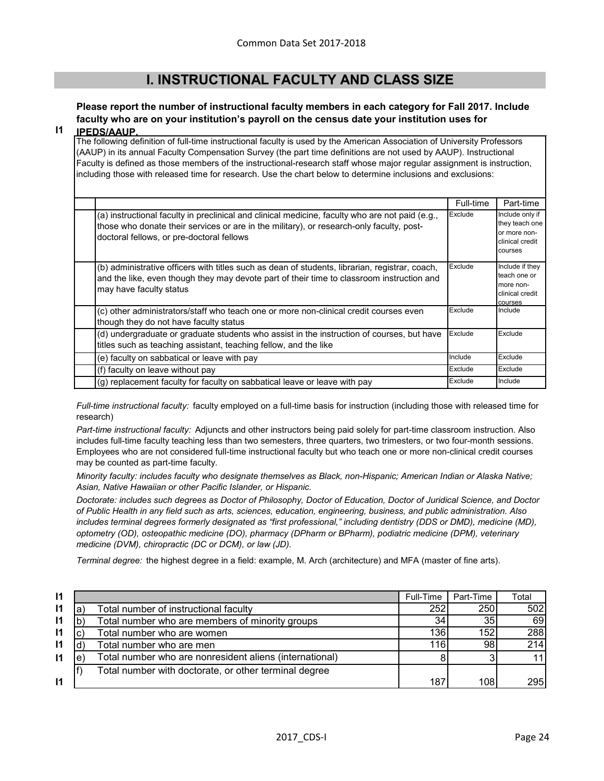# **I. INSTRUCTIONAL FACULTY AND CLASS SIZE**

# **Please report the number of instructional faculty members in each category for Fall 2017. Include faculty who are on your institution's payroll on the census date your institution uses for**

#### **I1 IPEDS/AAUP.**

The following definition of full-time instructional faculty is used by the American Association of University Professors (AAUP) in its annual Faculty Compensation Survey (the part time definitions are not used by AAUP). Instructional Faculty is defined as those members of the instructional-research staff whose major regular assignment is instruction, including those with released time for research. Use the chart below to determine inclusions and exclusions:

|                                                                                                                                                                                                                                          | Full-time | Part-time                                                                       |
|------------------------------------------------------------------------------------------------------------------------------------------------------------------------------------------------------------------------------------------|-----------|---------------------------------------------------------------------------------|
| (a) instructional faculty in preclinical and clinical medicine, faculty who are not paid (e.g.,<br>those who donate their services or are in the military), or research-only faculty, post-<br>doctoral fellows, or pre-doctoral fellows | Exclude   | Include only if<br>they teach one<br>or more non-<br>clinical credit<br>courses |
| (b) administrative officers with titles such as dean of students, librarian, registrar, coach,<br>and the like, even though they may devote part of their time to classroom instruction and<br>may have faculty status                   | Exclude   | Include if they<br>teach one or<br>more non-<br>clinical credit<br>courses      |
| (c) other administrators/staff who teach one or more non-clinical credit courses even<br>though they do not have faculty status                                                                                                          | Exclude   | Include                                                                         |
| (d) undergraduate or graduate students who assist in the instruction of courses, but have<br>titles such as teaching assistant, teaching fellow, and the like                                                                            | Exclude   | Exclude                                                                         |
| (e) faculty on sabbatical or leave with pay                                                                                                                                                                                              | Include   | Exclude                                                                         |
| (f) faculty on leave without pay                                                                                                                                                                                                         | Exclude   | Exclude                                                                         |
| (g) replacement faculty for faculty on sabbatical leave or leave with pay                                                                                                                                                                | Exclude   | Include                                                                         |

*Full-time instructional faculty:* faculty employed on a full-time basis for instruction (including those with released time for research)

*Part-time instructional faculty:* Adjuncts and other instructors being paid solely for part-time classroom instruction. Also includes full-time faculty teaching less than two semesters, three quarters, two trimesters, or two four-month sessions. Employees who are not considered full-time instructional faculty but who teach one or more non-clinical credit courses may be counted as part-time faculty.

*Minority faculty: includes faculty who designate themselves as Black, non-Hispanic; American Indian or Alaska Native; Asian, Native Hawaiian or other Pacific Islander, or Hispanic.* 

*Doctorate: includes such degrees as Doctor of Philosophy, Doctor of Education, Doctor of Juridical Science, and Doctor of Public Health in any field such as arts, sciences, education, engineering, business, and public administration. Also*  includes terminal degrees formerly designated as "first professional," including dentistry (DDS or DMD), medicine (MD), *optometry (OD), osteopathic medicine (DO), pharmacy (DPharm or BPharm), podiatric medicine (DPM), veterinary medicine (DVM), chiropractic (DC or DCM), or law (JD).*

*Terminal degree:* the highest degree in a field: example, M. Arch (architecture) and MFA (master of fine arts).

| $\mathsf{I}$ |   |                                                         | Full-Time | Part-Time | Total      |
|--------------|---|---------------------------------------------------------|-----------|-----------|------------|
| $\mathsf{I}$ | a | Total number of instructional faculty                   | 252       | 250       | 502        |
| $\mathsf{I}$ |   | Total number who are members of minority groups         | 34        | 35        | 69         |
| $\mathsf{I}$ |   | Total number who are women                              | 136       | 152       | 288        |
| $\mathsf{I}$ |   | Total number who are men                                | 116       | 98        | 214        |
| $\mathsf{I}$ | e | Total number who are nonresident aliens (international) |           |           | 11         |
|              |   | Total number with doctorate, or other terminal degree   |           |           |            |
| $\mathsf{I}$ |   |                                                         | 187       | 108       | <b>295</b> |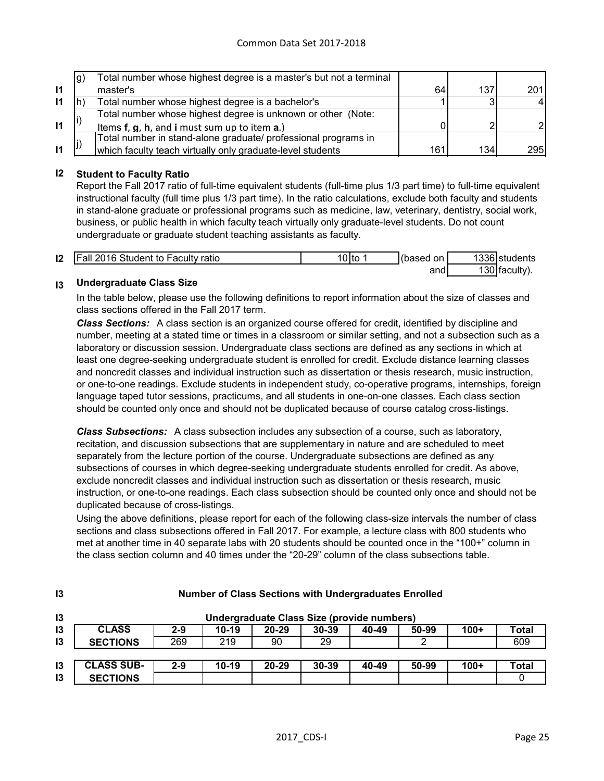|              | g) | Total number whose highest degree is a master's but not a terminal |     |     |     |
|--------------|----|--------------------------------------------------------------------|-----|-----|-----|
| $\mathbf{I}$ |    | master's                                                           | 64  | 137 | 201 |
| $\mathsf{I}$ |    | Total number whose highest degree is a bachelor's                  |     |     |     |
|              |    | Total number whose highest degree is unknown or other (Note:       |     |     |     |
| $\mathbf{I}$ |    | <u>Items f, q, h, and i must sum up to item a.)</u>                |     |     |     |
|              |    | Total number in stand-alone graduate/ professional programs in     |     |     |     |
| $\mathbf{I}$ |    | which faculty teach virtually only graduate-level students         | 161 | 134 | 295 |

#### **I2 Student to Faculty Ratio**

Report the Fall 2017 ratio of full-time equivalent students (full-time plus 1/3 part time) to full-time equivalent instructional faculty (full time plus 1/3 part time). In the ratio calculations, exclude both faculty and students in stand-alone graduate or professional programs such as medicine, law, veterinary, dentistry, social work, business, or public health in which faculty teach virtually only graduate-level students. Do not count undergraduate or graduate student teaching assistants as faculty.

| 12 | <b>Fall 2016 Student to Faculty ratio</b> | 0Ito | on.<br>(based | 1336 students   |
|----|-------------------------------------------|------|---------------|-----------------|
|    |                                           |      | and           | 130   faculty). |

#### **I3 Undergraduate Class Size**

**I3**

In the table below, please use the following definitions to report information about the size of classes and class sections offered in the Fall 2017 term.

*Class Sections:* A class section is an organized course offered for credit, identified by discipline and number, meeting at a stated time or times in a classroom or similar setting, and not a subsection such as a laboratory or discussion session. Undergraduate class sections are defined as any sections in which at least one degree-seeking undergraduate student is enrolled for credit. Exclude distance learning classes and noncredit classes and individual instruction such as dissertation or thesis research, music instruction, or one-to-one readings. Exclude students in independent study, co-operative programs, internships, foreign language taped tutor sessions, practicums, and all students in one-on-one classes. Each class section should be counted only once and should not be duplicated because of course catalog cross-listings.

*Class Subsections:* A class subsection includes any subsection of a course, such as laboratory, recitation, and discussion subsections that are supplementary in nature and are scheduled to meet separately from the lecture portion of the course. Undergraduate subsections are defined as any subsections of courses in which degree-seeking undergraduate students enrolled for credit. As above, exclude noncredit classes and individual instruction such as dissertation or thesis research, music instruction, or one-to-one readings. Each class subsection should be counted only once and should not be duplicated because of cross-listings.

Using the above definitions, please report for each of the following class-size intervals the number of class sections and class subsections offered in Fall 2017. For example, a lecture class with 800 students who met at another time in 40 separate labs with 20 students should be counted once in the "100+" column in the class section column and 40 times under the "20-29" column of the class subsections table.

| 13 |                   |         |         |           | Undergraduate Class Size (provide numbers) |       |       |        |       |
|----|-------------------|---------|---------|-----------|--------------------------------------------|-------|-------|--------|-------|
| 13 | <b>CLASS</b>      | $2 - 9$ | $10-19$ | $20 - 29$ | $30 - 39$                                  | 40-49 | 50-99 | $100+$ | Total |
| 13 | <b>SECTIONS</b>   | 269     | 219     | 90        | 29                                         |       |       |        | 609   |
|    |                   |         |         |           |                                            |       |       |        |       |
| 13 | <b>CLASS SUB-</b> | $2 - 9$ | $10-19$ | $20 - 29$ | 30-39                                      | 40-49 | 50-99 | $100+$ | Total |
| 13 | <b>SECTIONS</b>   |         |         |           |                                            |       |       |        |       |

#### **Number of Class Sections with Undergraduates Enrolled**